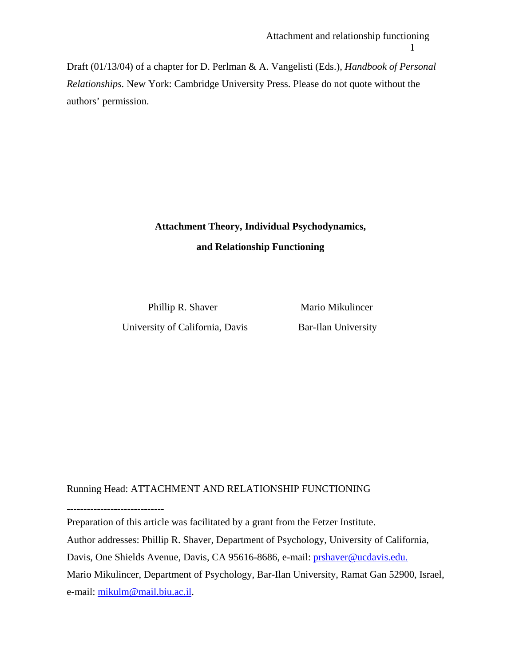Draft (01/13/04) of a chapter for D. Perlman & A. Vangelisti (Eds.), *Handbook of Personal Relationships.* New York: Cambridge University Press. Please do not quote without the authors' permission.

# **Attachment Theory, Individual Psychodynamics, and Relationship Functioning**

Phillip R. Shaver Mario Mikulincer University of California, Davis Bar-Ilan University

# Running Head: ATTACHMENT AND RELATIONSHIP FUNCTIONING

*-----------------------------* 

Preparation of this article was facilitated by a grant from the Fetzer Institute.

Author addresses: Phillip R. Shaver, Department of Psychology, University of California,

Davis, One Shields Avenue, Davis, CA 95616-8686, e-mail: [prshaver@ucdavis.edu.](mailto:prshaver@ucdavis.edu)

Mario Mikulincer, Department of Psychology, Bar-Ilan University, Ramat Gan 52900, Israel, e-mail: [mikulm@mail.biu.ac.il.](mailto:mikulm@mail.biu.ac.il)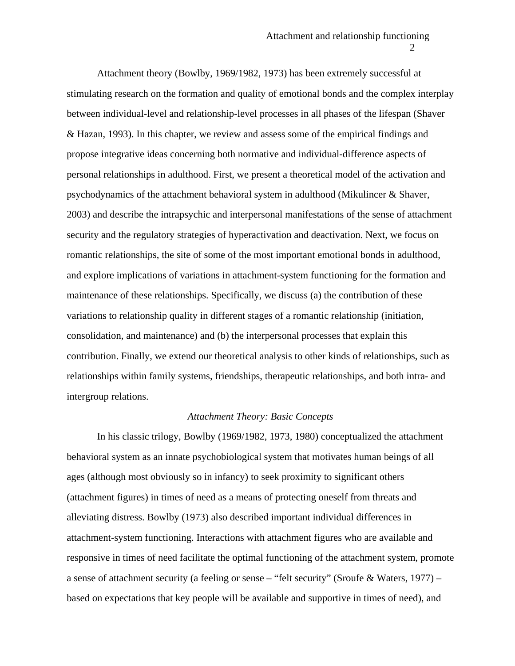Attachment theory (Bowlby, 1969/1982, 1973) has been extremely successful at stimulating research on the formation and quality of emotional bonds and the complex interplay between individual-level and relationship-level processes in all phases of the lifespan (Shaver & Hazan, 1993). In this chapter, we review and assess some of the empirical findings and propose integrative ideas concerning both normative and individual-difference aspects of personal relationships in adulthood. First, we present a theoretical model of the activation and psychodynamics of the attachment behavioral system in adulthood (Mikulincer & Shaver, 2003) and describe the intrapsychic and interpersonal manifestations of the sense of attachment security and the regulatory strategies of hyperactivation and deactivation. Next, we focus on romantic relationships, the site of some of the most important emotional bonds in adulthood, and explore implications of variations in attachment-system functioning for the formation and maintenance of these relationships. Specifically, we discuss (a) the contribution of these variations to relationship quality in different stages of a romantic relationship (initiation, consolidation, and maintenance) and (b) the interpersonal processes that explain this contribution. Finally, we extend our theoretical analysis to other kinds of relationships, such as relationships within family systems, friendships, therapeutic relationships, and both intra- and intergroup relations.

#### *Attachment Theory: Basic Concepts*

In his classic trilogy, Bowlby (1969/1982, 1973, 1980) conceptualized the attachment behavioral system as an innate psychobiological system that motivates human beings of all ages (although most obviously so in infancy) to seek proximity to significant others (attachment figures) in times of need as a means of protecting oneself from threats and alleviating distress. Bowlby (1973) also described important individual differences in attachment-system functioning. Interactions with attachment figures who are available and responsive in times of need facilitate the optimal functioning of the attachment system, promote a sense of attachment security (a feeling or sense – "felt security" (Sroufe & Waters, 1977) – based on expectations that key people will be available and supportive in times of need), and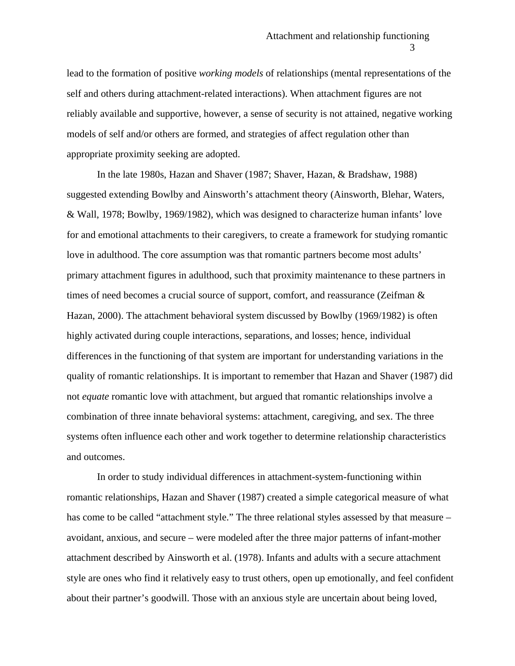lead to the formation of positive *working models* of relationships (mental representations of the self and others during attachment-related interactions). When attachment figures are not reliably available and supportive, however, a sense of security is not attained, negative working models of self and/or others are formed, and strategies of affect regulation other than appropriate proximity seeking are adopted.

In the late 1980s, Hazan and Shaver (1987; Shaver, Hazan, & Bradshaw, 1988) suggested extending Bowlby and Ainsworth's attachment theory (Ainsworth, Blehar, Waters, & Wall, 1978; Bowlby, 1969/1982), which was designed to characterize human infants' love for and emotional attachments to their caregivers, to create a framework for studying romantic love in adulthood. The core assumption was that romantic partners become most adults' primary attachment figures in adulthood, such that proximity maintenance to these partners in times of need becomes a crucial source of support, comfort, and reassurance (Zeifman & Hazan, 2000). The attachment behavioral system discussed by Bowlby (1969/1982) is often highly activated during couple interactions, separations, and losses; hence, individual differences in the functioning of that system are important for understanding variations in the quality of romantic relationships. It is important to remember that Hazan and Shaver (1987) did not *equate* romantic love with attachment, but argued that romantic relationships involve a combination of three innate behavioral systems: attachment, caregiving, and sex. The three systems often influence each other and work together to determine relationship characteristics and outcomes.

In order to study individual differences in attachment-system-functioning within romantic relationships, Hazan and Shaver (1987) created a simple categorical measure of what has come to be called "attachment style." The three relational styles assessed by that measure – avoidant, anxious, and secure – were modeled after the three major patterns of infant-mother attachment described by Ainsworth et al. (1978). Infants and adults with a secure attachment style are ones who find it relatively easy to trust others, open up emotionally, and feel confident about their partner's goodwill. Those with an anxious style are uncertain about being loved,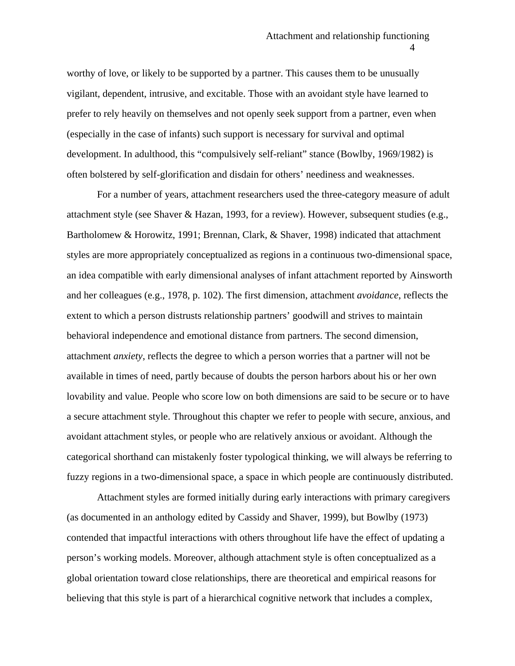worthy of love, or likely to be supported by a partner. This causes them to be unusually vigilant, dependent, intrusive, and excitable. Those with an avoidant style have learned to prefer to rely heavily on themselves and not openly seek support from a partner, even when (especially in the case of infants) such support is necessary for survival and optimal development. In adulthood, this "compulsively self-reliant" stance (Bowlby, 1969/1982) is often bolstered by self-glorification and disdain for others' neediness and weaknesses.

For a number of years, attachment researchers used the three-category measure of adult attachment style (see Shaver & Hazan, 1993, for a review). However, subsequent studies (e.g., Bartholomew & Horowitz, 1991; Brennan, Clark, & Shaver, 1998) indicated that attachment styles are more appropriately conceptualized as regions in a continuous two-dimensional space, an idea compatible with early dimensional analyses of infant attachment reported by Ainsworth and her colleagues (e.g., 1978, p. 102). The first dimension, attachment *avoidance*, reflects the extent to which a person distrusts relationship partners' goodwill and strives to maintain behavioral independence and emotional distance from partners. The second dimension, attachment *anxiety*, reflects the degree to which a person worries that a partner will not be available in times of need, partly because of doubts the person harbors about his or her own lovability and value. People who score low on both dimensions are said to be secure or to have a secure attachment style. Throughout this chapter we refer to people with secure, anxious, and avoidant attachment styles, or people who are relatively anxious or avoidant. Although the categorical shorthand can mistakenly foster typological thinking, we will always be referring to fuzzy regions in a two-dimensional space, a space in which people are continuously distributed.

Attachment styles are formed initially during early interactions with primary caregivers (as documented in an anthology edited by Cassidy and Shaver, 1999), but Bowlby (1973) contended that impactful interactions with others throughout life have the effect of updating a person's working models. Moreover, although attachment style is often conceptualized as a global orientation toward close relationships, there are theoretical and empirical reasons for believing that this style is part of a hierarchical cognitive network that includes a complex,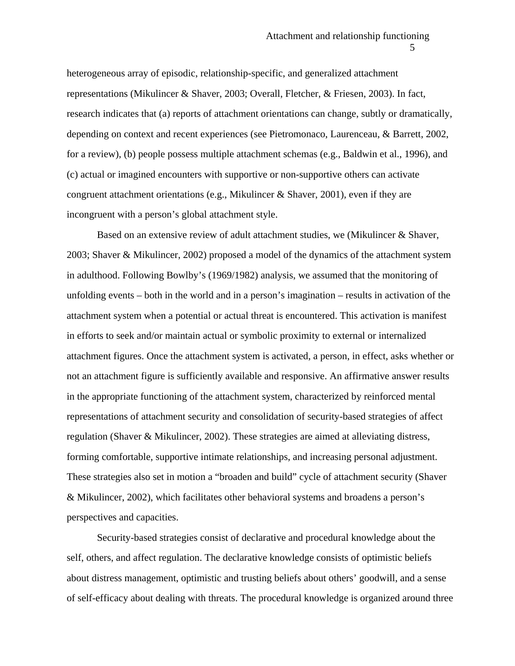heterogeneous array of episodic, relationship-specific, and generalized attachment representations (Mikulincer & Shaver, 2003; Overall, Fletcher, & Friesen, 2003). In fact, research indicates that (a) reports of attachment orientations can change, subtly or dramatically, depending on context and recent experiences (see Pietromonaco, Laurenceau, & Barrett, 2002, for a review), (b) people possess multiple attachment schemas (e.g., Baldwin et al., 1996), and (c) actual or imagined encounters with supportive or non-supportive others can activate congruent attachment orientations (e.g., Mikulincer & Shaver, 2001), even if they are incongruent with a person's global attachment style.

Based on an extensive review of adult attachment studies, we (Mikulincer & Shaver, 2003; Shaver & Mikulincer, 2002) proposed a model of the dynamics of the attachment system in adulthood. Following Bowlby's (1969/1982) analysis, we assumed that the monitoring of unfolding events – both in the world and in a person's imagination – results in activation of the attachment system when a potential or actual threat is encountered. This activation is manifest in efforts to seek and/or maintain actual or symbolic proximity to external or internalized attachment figures. Once the attachment system is activated, a person, in effect, asks whether or not an attachment figure is sufficiently available and responsive. An affirmative answer results in the appropriate functioning of the attachment system, characterized by reinforced mental representations of attachment security and consolidation of security-based strategies of affect regulation (Shaver & Mikulincer, 2002). These strategies are aimed at alleviating distress, forming comfortable, supportive intimate relationships, and increasing personal adjustment. These strategies also set in motion a "broaden and build" cycle of attachment security (Shaver & Mikulincer, 2002), which facilitates other behavioral systems and broadens a person's perspectives and capacities.

Security-based strategies consist of declarative and procedural knowledge about the self, others, and affect regulation. The declarative knowledge consists of optimistic beliefs about distress management, optimistic and trusting beliefs about others' goodwill, and a sense of self-efficacy about dealing with threats. The procedural knowledge is organized around three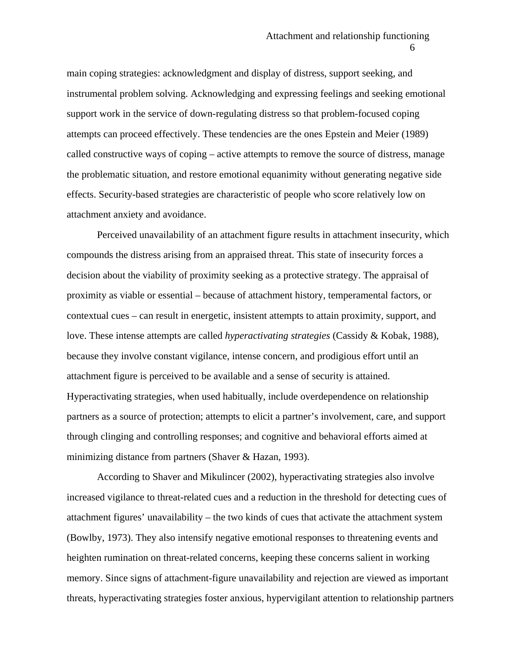main coping strategies: acknowledgment and display of distress, support seeking, and instrumental problem solving. Acknowledging and expressing feelings and seeking emotional support work in the service of down-regulating distress so that problem-focused coping attempts can proceed effectively. These tendencies are the ones Epstein and Meier (1989) called constructive ways of coping – active attempts to remove the source of distress, manage the problematic situation, and restore emotional equanimity without generating negative side effects. Security-based strategies are characteristic of people who score relatively low on attachment anxiety and avoidance.

Perceived unavailability of an attachment figure results in attachment insecurity, which compounds the distress arising from an appraised threat. This state of insecurity forces a decision about the viability of proximity seeking as a protective strategy. The appraisal of proximity as viable or essential – because of attachment history, temperamental factors, or contextual cues – can result in energetic, insistent attempts to attain proximity, support, and love. These intense attempts are called *hyperactivating strategies* (Cassidy & Kobak, 1988), because they involve constant vigilance, intense concern, and prodigious effort until an attachment figure is perceived to be available and a sense of security is attained. Hyperactivating strategies, when used habitually, include overdependence on relationship partners as a source of protection; attempts to elicit a partner's involvement, care, and support through clinging and controlling responses; and cognitive and behavioral efforts aimed at minimizing distance from partners (Shaver & Hazan, 1993).

According to Shaver and Mikulincer (2002), hyperactivating strategies also involve increased vigilance to threat-related cues and a reduction in the threshold for detecting cues of attachment figures' unavailability – the two kinds of cues that activate the attachment system (Bowlby, 1973). They also intensify negative emotional responses to threatening events and heighten rumination on threat-related concerns, keeping these concerns salient in working memory. Since signs of attachment-figure unavailability and rejection are viewed as important threats, hyperactivating strategies foster anxious, hypervigilant attention to relationship partners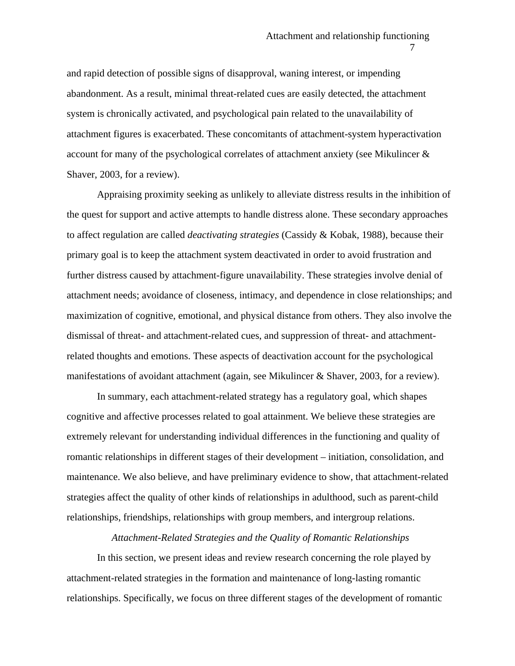and rapid detection of possible signs of disapproval, waning interest, or impending abandonment. As a result, minimal threat-related cues are easily detected, the attachment system is chronically activated, and psychological pain related to the unavailability of attachment figures is exacerbated. These concomitants of attachment-system hyperactivation account for many of the psychological correlates of attachment anxiety (see Mikulincer & Shaver, 2003, for a review).

Appraising proximity seeking as unlikely to alleviate distress results in the inhibition of the quest for support and active attempts to handle distress alone. These secondary approaches to affect regulation are called *deactivating strategies* (Cassidy & Kobak, 1988), because their primary goal is to keep the attachment system deactivated in order to avoid frustration and further distress caused by attachment-figure unavailability. These strategies involve denial of attachment needs; avoidance of closeness, intimacy, and dependence in close relationships; and maximization of cognitive, emotional, and physical distance from others. They also involve the dismissal of threat- and attachment-related cues, and suppression of threat- and attachmentrelated thoughts and emotions. These aspects of deactivation account for the psychological manifestations of avoidant attachment (again, see Mikulincer & Shaver, 2003, for a review).

In summary, each attachment-related strategy has a regulatory goal, which shapes cognitive and affective processes related to goal attainment. We believe these strategies are extremely relevant for understanding individual differences in the functioning and quality of romantic relationships in different stages of their development – initiation, consolidation, and maintenance. We also believe, and have preliminary evidence to show, that attachment-related strategies affect the quality of other kinds of relationships in adulthood, such as parent-child relationships, friendships, relationships with group members, and intergroup relations.

*Attachment-Related Strategies and the Quality of Romantic Relationships* 

In this section, we present ideas and review research concerning the role played by attachment-related strategies in the formation and maintenance of long-lasting romantic relationships. Specifically, we focus on three different stages of the development of romantic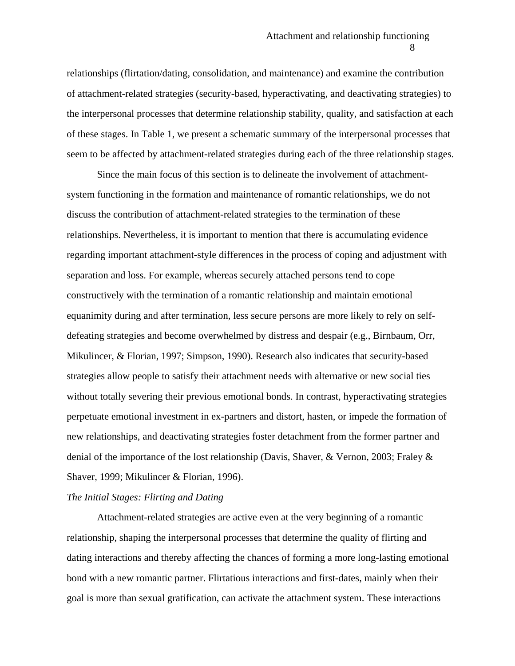relationships (flirtation/dating, consolidation, and maintenance) and examine the contribution of attachment-related strategies (security-based, hyperactivating, and deactivating strategies) to the interpersonal processes that determine relationship stability, quality, and satisfaction at each of these stages. In Table 1, we present a schematic summary of the interpersonal processes that seem to be affected by attachment-related strategies during each of the three relationship stages.

Since the main focus of this section is to delineate the involvement of attachmentsystem functioning in the formation and maintenance of romantic relationships, we do not discuss the contribution of attachment-related strategies to the termination of these relationships. Nevertheless, it is important to mention that there is accumulating evidence regarding important attachment-style differences in the process of coping and adjustment with separation and loss. For example, whereas securely attached persons tend to cope constructively with the termination of a romantic relationship and maintain emotional equanimity during and after termination, less secure persons are more likely to rely on selfdefeating strategies and become overwhelmed by distress and despair (e.g., Birnbaum, Orr, Mikulincer, & Florian, 1997; Simpson, 1990). Research also indicates that security-based strategies allow people to satisfy their attachment needs with alternative or new social ties without totally severing their previous emotional bonds. In contrast, hyperactivating strategies perpetuate emotional investment in ex-partners and distort, hasten, or impede the formation of new relationships, and deactivating strategies foster detachment from the former partner and denial of the importance of the lost relationship (Davis, Shaver, & Vernon, 2003; Fraley & Shaver, 1999; Mikulincer & Florian, 1996).

## *The Initial Stages: Flirting and Dating*

Attachment-related strategies are active even at the very beginning of a romantic relationship, shaping the interpersonal processes that determine the quality of flirting and dating interactions and thereby affecting the chances of forming a more long-lasting emotional bond with a new romantic partner. Flirtatious interactions and first-dates, mainly when their goal is more than sexual gratification, can activate the attachment system. These interactions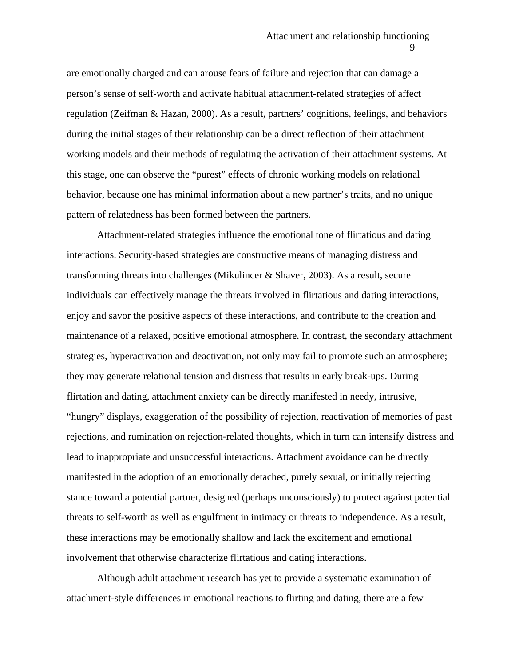are emotionally charged and can arouse fears of failure and rejection that can damage a person's sense of self-worth and activate habitual attachment-related strategies of affect regulation (Zeifman & Hazan, 2000). As a result, partners' cognitions, feelings, and behaviors during the initial stages of their relationship can be a direct reflection of their attachment working models and their methods of regulating the activation of their attachment systems. At this stage, one can observe the "purest" effects of chronic working models on relational behavior, because one has minimal information about a new partner's traits, and no unique pattern of relatedness has been formed between the partners.

Attachment-related strategies influence the emotional tone of flirtatious and dating interactions. Security-based strategies are constructive means of managing distress and transforming threats into challenges (Mikulincer & Shaver, 2003). As a result, secure individuals can effectively manage the threats involved in flirtatious and dating interactions, enjoy and savor the positive aspects of these interactions, and contribute to the creation and maintenance of a relaxed, positive emotional atmosphere. In contrast, the secondary attachment strategies, hyperactivation and deactivation, not only may fail to promote such an atmosphere; they may generate relational tension and distress that results in early break-ups. During flirtation and dating, attachment anxiety can be directly manifested in needy, intrusive, "hungry" displays, exaggeration of the possibility of rejection, reactivation of memories of past rejections, and rumination on rejection-related thoughts, which in turn can intensify distress and lead to inappropriate and unsuccessful interactions. Attachment avoidance can be directly manifested in the adoption of an emotionally detached, purely sexual, or initially rejecting stance toward a potential partner, designed (perhaps unconsciously) to protect against potential threats to self-worth as well as engulfment in intimacy or threats to independence. As a result, these interactions may be emotionally shallow and lack the excitement and emotional involvement that otherwise characterize flirtatious and dating interactions.

Although adult attachment research has yet to provide a systematic examination of attachment-style differences in emotional reactions to flirting and dating, there are a few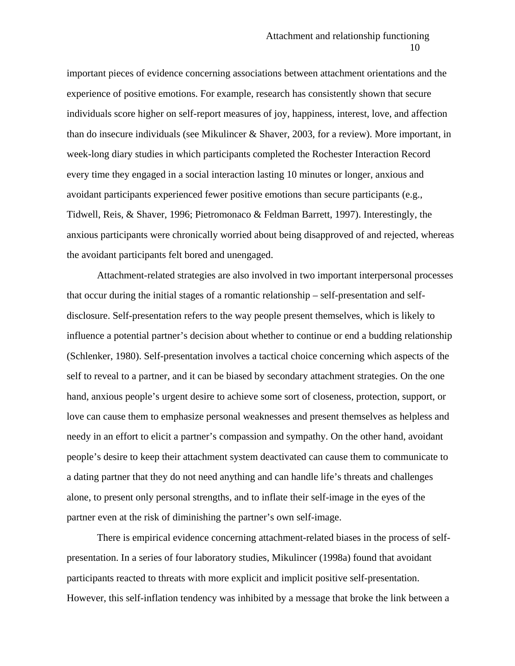important pieces of evidence concerning associations between attachment orientations and the experience of positive emotions. For example, research has consistently shown that secure individuals score higher on self-report measures of joy, happiness, interest, love, and affection than do insecure individuals (see Mikulincer & Shaver, 2003, for a review). More important, in week-long diary studies in which participants completed the Rochester Interaction Record every time they engaged in a social interaction lasting 10 minutes or longer, anxious and avoidant participants experienced fewer positive emotions than secure participants (e.g., Tidwell, Reis, & Shaver, 1996; Pietromonaco & Feldman Barrett, 1997). Interestingly, the anxious participants were chronically worried about being disapproved of and rejected, whereas the avoidant participants felt bored and unengaged.

Attachment-related strategies are also involved in two important interpersonal processes that occur during the initial stages of a romantic relationship – self-presentation and selfdisclosure. Self-presentation refers to the way people present themselves, which is likely to influence a potential partner's decision about whether to continue or end a budding relationship (Schlenker, 1980). Self-presentation involves a tactical choice concerning which aspects of the self to reveal to a partner, and it can be biased by secondary attachment strategies. On the one hand, anxious people's urgent desire to achieve some sort of closeness, protection, support, or love can cause them to emphasize personal weaknesses and present themselves as helpless and needy in an effort to elicit a partner's compassion and sympathy. On the other hand, avoidant people's desire to keep their attachment system deactivated can cause them to communicate to a dating partner that they do not need anything and can handle life's threats and challenges alone, to present only personal strengths, and to inflate their self-image in the eyes of the partner even at the risk of diminishing the partner's own self-image.

There is empirical evidence concerning attachment-related biases in the process of selfpresentation. In a series of four laboratory studies, Mikulincer (1998a) found that avoidant participants reacted to threats with more explicit and implicit positive self-presentation. However, this self-inflation tendency was inhibited by a message that broke the link between a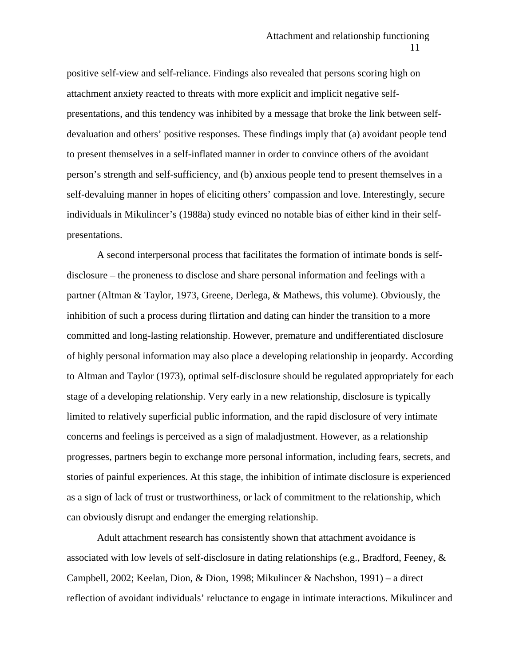positive self-view and self-reliance. Findings also revealed that persons scoring high on attachment anxiety reacted to threats with more explicit and implicit negative selfpresentations, and this tendency was inhibited by a message that broke the link between selfdevaluation and others' positive responses. These findings imply that (a) avoidant people tend to present themselves in a self-inflated manner in order to convince others of the avoidant person's strength and self-sufficiency, and (b) anxious people tend to present themselves in a self-devaluing manner in hopes of eliciting others' compassion and love. Interestingly, secure individuals in Mikulincer's (1988a) study evinced no notable bias of either kind in their selfpresentations.

A second interpersonal process that facilitates the formation of intimate bonds is selfdisclosure – the proneness to disclose and share personal information and feelings with a partner (Altman & Taylor, 1973, Greene, Derlega, & Mathews, this volume). Obviously, the inhibition of such a process during flirtation and dating can hinder the transition to a more committed and long-lasting relationship. However, premature and undifferentiated disclosure of highly personal information may also place a developing relationship in jeopardy. According to Altman and Taylor (1973), optimal self-disclosure should be regulated appropriately for each stage of a developing relationship. Very early in a new relationship, disclosure is typically limited to relatively superficial public information, and the rapid disclosure of very intimate concerns and feelings is perceived as a sign of maladjustment. However, as a relationship progresses, partners begin to exchange more personal information, including fears, secrets, and stories of painful experiences. At this stage, the inhibition of intimate disclosure is experienced as a sign of lack of trust or trustworthiness, or lack of commitment to the relationship, which can obviously disrupt and endanger the emerging relationship.

Adult attachment research has consistently shown that attachment avoidance is associated with low levels of self-disclosure in dating relationships (e.g., Bradford, Feeney, & Campbell, 2002; Keelan, Dion, & Dion, 1998; Mikulincer & Nachshon, 1991) – a direct reflection of avoidant individuals' reluctance to engage in intimate interactions. Mikulincer and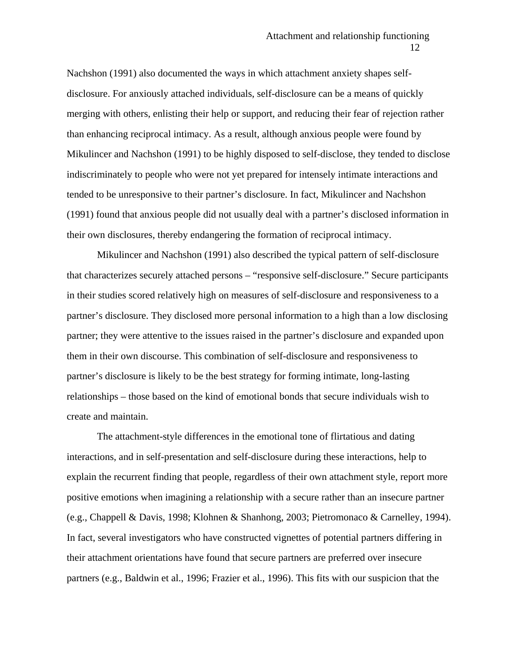Nachshon (1991) also documented the ways in which attachment anxiety shapes selfdisclosure. For anxiously attached individuals, self-disclosure can be a means of quickly merging with others, enlisting their help or support, and reducing their fear of rejection rather than enhancing reciprocal intimacy. As a result, although anxious people were found by Mikulincer and Nachshon (1991) to be highly disposed to self-disclose, they tended to disclose indiscriminately to people who were not yet prepared for intensely intimate interactions and tended to be unresponsive to their partner's disclosure. In fact, Mikulincer and Nachshon (1991) found that anxious people did not usually deal with a partner's disclosed information in their own disclosures, thereby endangering the formation of reciprocal intimacy.

Mikulincer and Nachshon (1991) also described the typical pattern of self-disclosure that characterizes securely attached persons – "responsive self-disclosure." Secure participants in their studies scored relatively high on measures of self-disclosure and responsiveness to a partner's disclosure. They disclosed more personal information to a high than a low disclosing partner; they were attentive to the issues raised in the partner's disclosure and expanded upon them in their own discourse. This combination of self-disclosure and responsiveness to partner's disclosure is likely to be the best strategy for forming intimate, long-lasting relationships – those based on the kind of emotional bonds that secure individuals wish to create and maintain.

The attachment-style differences in the emotional tone of flirtatious and dating interactions, and in self-presentation and self-disclosure during these interactions, help to explain the recurrent finding that people, regardless of their own attachment style, report more positive emotions when imagining a relationship with a secure rather than an insecure partner (e.g., Chappell & Davis, 1998; Klohnen & Shanhong, 2003; Pietromonaco & Carnelley, 1994). In fact, several investigators who have constructed vignettes of potential partners differing in their attachment orientations have found that secure partners are preferred over insecure partners (e.g., Baldwin et al., 1996; Frazier et al., 1996). This fits with our suspicion that the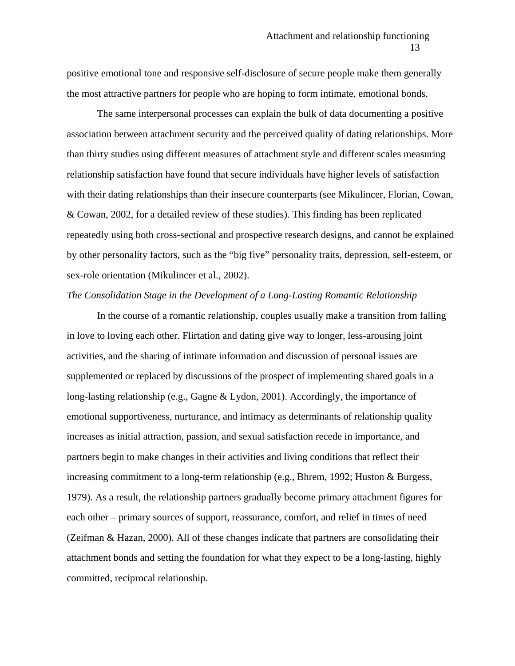positive emotional tone and responsive self-disclosure of secure people make them generally the most attractive partners for people who are hoping to form intimate, emotional bonds.

The same interpersonal processes can explain the bulk of data documenting a positive association between attachment security and the perceived quality of dating relationships. More than thirty studies using different measures of attachment style and different scales measuring relationship satisfaction have found that secure individuals have higher levels of satisfaction with their dating relationships than their insecure counterparts (see Mikulincer, Florian, Cowan, & Cowan, 2002, for a detailed review of these studies). This finding has been replicated repeatedly using both cross-sectional and prospective research designs, and cannot be explained by other personality factors, such as the "big five" personality traits, depression, self-esteem, or sex-role orientation (Mikulincer et al., 2002).

#### *The Consolidation Stage in the Development of a Long-Lasting Romantic Relationship*

In the course of a romantic relationship, couples usually make a transition from falling in love to loving each other. Flirtation and dating give way to longer, less-arousing joint activities, and the sharing of intimate information and discussion of personal issues are supplemented or replaced by discussions of the prospect of implementing shared goals in a long-lasting relationship (e.g., Gagne & Lydon, 2001). Accordingly, the importance of emotional supportiveness, nurturance, and intimacy as determinants of relationship quality increases as initial attraction, passion, and sexual satisfaction recede in importance, and partners begin to make changes in their activities and living conditions that reflect their increasing commitment to a long-term relationship (e.g., Bhrem, 1992; Huston & Burgess, 1979). As a result, the relationship partners gradually become primary attachment figures for each other – primary sources of support, reassurance, comfort, and relief in times of need (Zeifman & Hazan, 2000). All of these changes indicate that partners are consolidating their attachment bonds and setting the foundation for what they expect to be a long-lasting, highly committed, reciprocal relationship.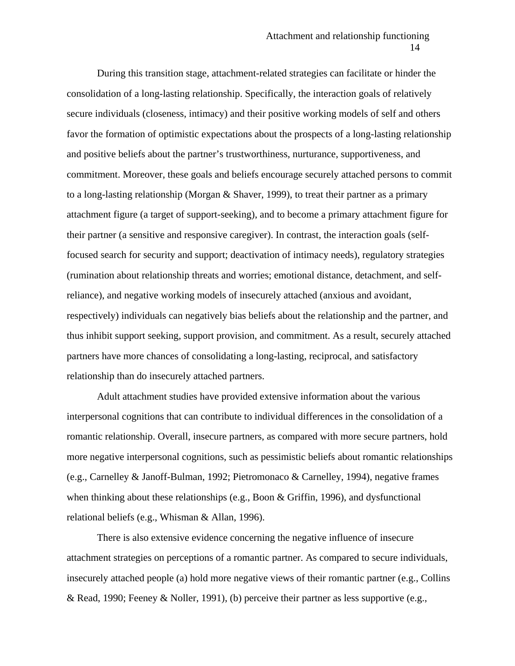During this transition stage, attachment-related strategies can facilitate or hinder the consolidation of a long-lasting relationship. Specifically, the interaction goals of relatively secure individuals (closeness, intimacy) and their positive working models of self and others favor the formation of optimistic expectations about the prospects of a long-lasting relationship and positive beliefs about the partner's trustworthiness, nurturance, supportiveness, and commitment. Moreover, these goals and beliefs encourage securely attached persons to commit to a long-lasting relationship (Morgan & Shaver, 1999), to treat their partner as a primary attachment figure (a target of support-seeking), and to become a primary attachment figure for their partner (a sensitive and responsive caregiver). In contrast, the interaction goals (selffocused search for security and support; deactivation of intimacy needs), regulatory strategies (rumination about relationship threats and worries; emotional distance, detachment, and selfreliance), and negative working models of insecurely attached (anxious and avoidant, respectively) individuals can negatively bias beliefs about the relationship and the partner, and thus inhibit support seeking, support provision, and commitment. As a result, securely attached partners have more chances of consolidating a long-lasting, reciprocal, and satisfactory relationship than do insecurely attached partners.

Adult attachment studies have provided extensive information about the various interpersonal cognitions that can contribute to individual differences in the consolidation of a romantic relationship. Overall, insecure partners, as compared with more secure partners, hold more negative interpersonal cognitions, such as pessimistic beliefs about romantic relationships (e.g., Carnelley & Janoff-Bulman, 1992; Pietromonaco & Carnelley, 1994), negative frames when thinking about these relationships (e.g., Boon & Griffin, 1996), and dysfunctional relational beliefs (e.g., Whisman & Allan, 1996).

There is also extensive evidence concerning the negative influence of insecure attachment strategies on perceptions of a romantic partner. As compared to secure individuals, insecurely attached people (a) hold more negative views of their romantic partner (e.g., Collins & Read, 1990; Feeney & Noller, 1991), (b) perceive their partner as less supportive (e.g.,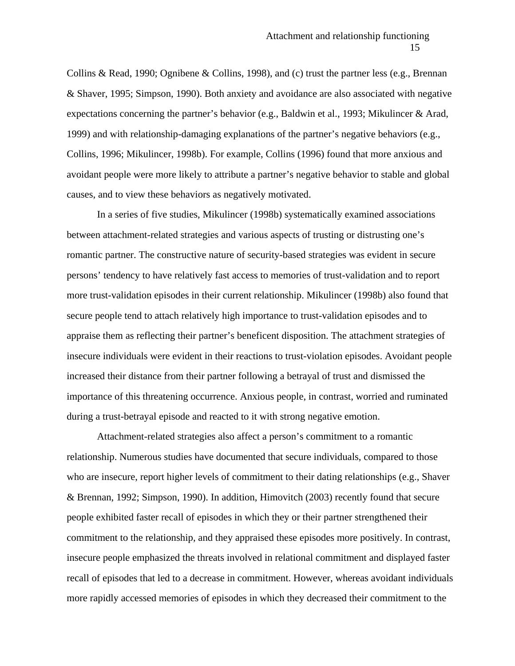Collins & Read, 1990; Ognibene & Collins, 1998), and (c) trust the partner less (e.g., Brennan & Shaver, 1995; Simpson, 1990). Both anxiety and avoidance are also associated with negative expectations concerning the partner's behavior (e.g., Baldwin et al., 1993; Mikulincer & Arad, 1999) and with relationship-damaging explanations of the partner's negative behaviors (e.g., Collins, 1996; Mikulincer, 1998b). For example, Collins (1996) found that more anxious and avoidant people were more likely to attribute a partner's negative behavior to stable and global causes, and to view these behaviors as negatively motivated.

In a series of five studies, Mikulincer (1998b) systematically examined associations between attachment-related strategies and various aspects of trusting or distrusting one's romantic partner. The constructive nature of security-based strategies was evident in secure persons' tendency to have relatively fast access to memories of trust-validation and to report more trust-validation episodes in their current relationship. Mikulincer (1998b) also found that secure people tend to attach relatively high importance to trust-validation episodes and to appraise them as reflecting their partner's beneficent disposition. The attachment strategies of insecure individuals were evident in their reactions to trust-violation episodes. Avoidant people increased their distance from their partner following a betrayal of trust and dismissed the importance of this threatening occurrence. Anxious people, in contrast, worried and ruminated during a trust-betrayal episode and reacted to it with strong negative emotion.

Attachment-related strategies also affect a person's commitment to a romantic relationship. Numerous studies have documented that secure individuals, compared to those who are insecure, report higher levels of commitment to their dating relationships (e.g., Shaver & Brennan, 1992; Simpson, 1990). In addition, Himovitch (2003) recently found that secure people exhibited faster recall of episodes in which they or their partner strengthened their commitment to the relationship, and they appraised these episodes more positively. In contrast, insecure people emphasized the threats involved in relational commitment and displayed faster recall of episodes that led to a decrease in commitment. However, whereas avoidant individuals more rapidly accessed memories of episodes in which they decreased their commitment to the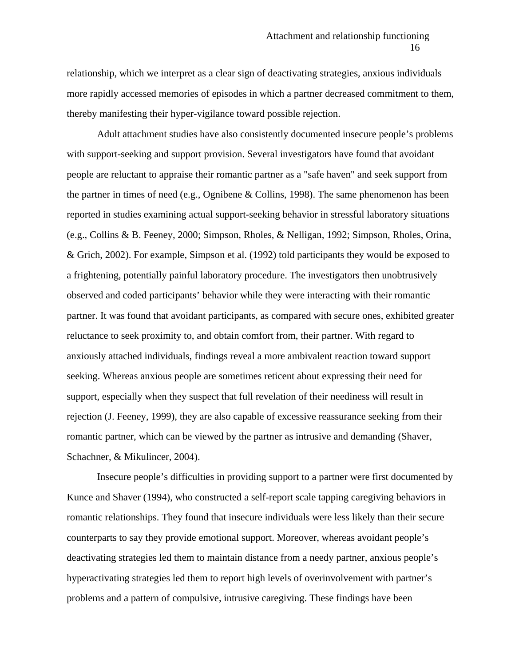relationship, which we interpret as a clear sign of deactivating strategies, anxious individuals more rapidly accessed memories of episodes in which a partner decreased commitment to them, thereby manifesting their hyper-vigilance toward possible rejection.

Adult attachment studies have also consistently documented insecure people's problems with support-seeking and support provision. Several investigators have found that avoidant people are reluctant to appraise their romantic partner as a "safe haven" and seek support from the partner in times of need (e.g., Ognibene & Collins, 1998). The same phenomenon has been reported in studies examining actual support-seeking behavior in stressful laboratory situations (e.g., Collins & B. Feeney, 2000; Simpson, Rholes, & Nelligan, 1992; Simpson, Rholes, Orina, & Grich, 2002). For example, Simpson et al. (1992) told participants they would be exposed to a frightening, potentially painful laboratory procedure. The investigators then unobtrusively observed and coded participants' behavior while they were interacting with their romantic partner. It was found that avoidant participants, as compared with secure ones, exhibited greater reluctance to seek proximity to, and obtain comfort from, their partner. With regard to anxiously attached individuals, findings reveal a more ambivalent reaction toward support seeking. Whereas anxious people are sometimes reticent about expressing their need for support, especially when they suspect that full revelation of their neediness will result in rejection (J. Feeney, 1999), they are also capable of excessive reassurance seeking from their romantic partner, which can be viewed by the partner as intrusive and demanding (Shaver, Schachner, & Mikulincer, 2004).

Insecure people's difficulties in providing support to a partner were first documented by Kunce and Shaver (1994), who constructed a self-report scale tapping caregiving behaviors in romantic relationships. They found that insecure individuals were less likely than their secure counterparts to say they provide emotional support. Moreover, whereas avoidant people's deactivating strategies led them to maintain distance from a needy partner, anxious people's hyperactivating strategies led them to report high levels of overinvolvement with partner's problems and a pattern of compulsive, intrusive caregiving. These findings have been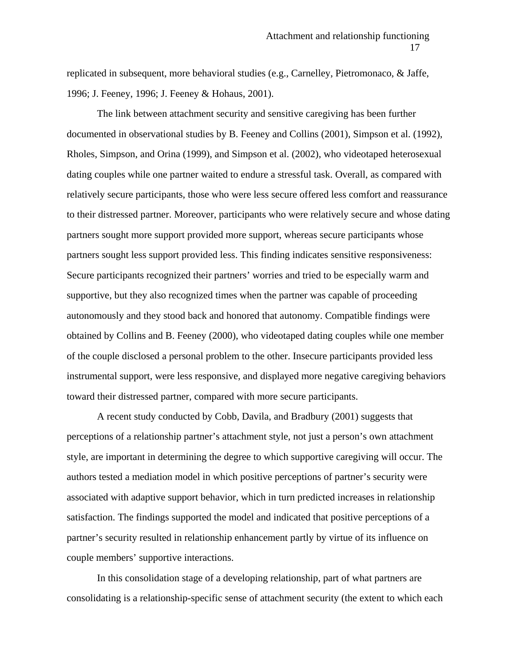replicated in subsequent, more behavioral studies (e.g., Carnelley, Pietromonaco, & Jaffe, 1996; J. Feeney, 1996; J. Feeney & Hohaus, 2001).

The link between attachment security and sensitive caregiving has been further documented in observational studies by B. Feeney and Collins (2001), Simpson et al. (1992), Rholes, Simpson, and Orina (1999), and Simpson et al. (2002), who videotaped heterosexual dating couples while one partner waited to endure a stressful task. Overall, as compared with relatively secure participants, those who were less secure offered less comfort and reassurance to their distressed partner. Moreover, participants who were relatively secure and whose dating partners sought more support provided more support, whereas secure participants whose partners sought less support provided less. This finding indicates sensitive responsiveness: Secure participants recognized their partners' worries and tried to be especially warm and supportive, but they also recognized times when the partner was capable of proceeding autonomously and they stood back and honored that autonomy. Compatible findings were obtained by Collins and B. Feeney (2000), who videotaped dating couples while one member of the couple disclosed a personal problem to the other. Insecure participants provided less instrumental support, were less responsive, and displayed more negative caregiving behaviors toward their distressed partner, compared with more secure participants.

A recent study conducted by Cobb, Davila, and Bradbury (2001) suggests that perceptions of a relationship partner's attachment style, not just a person's own attachment style, are important in determining the degree to which supportive caregiving will occur. The authors tested a mediation model in which positive perceptions of partner's security were associated with adaptive support behavior, which in turn predicted increases in relationship satisfaction. The findings supported the model and indicated that positive perceptions of a partner's security resulted in relationship enhancement partly by virtue of its influence on couple members' supportive interactions.

In this consolidation stage of a developing relationship, part of what partners are consolidating is a relationship-specific sense of attachment security (the extent to which each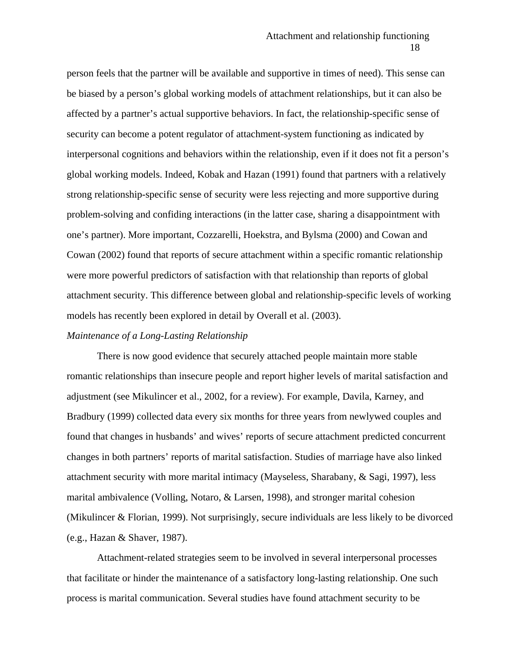person feels that the partner will be available and supportive in times of need). This sense can be biased by a person's global working models of attachment relationships, but it can also be affected by a partner's actual supportive behaviors. In fact, the relationship-specific sense of security can become a potent regulator of attachment-system functioning as indicated by interpersonal cognitions and behaviors within the relationship, even if it does not fit a person's global working models. Indeed, Kobak and Hazan (1991) found that partners with a relatively strong relationship-specific sense of security were less rejecting and more supportive during problem-solving and confiding interactions (in the latter case, sharing a disappointment with one's partner). More important, Cozzarelli, Hoekstra, and Bylsma (2000) and Cowan and Cowan (2002) found that reports of secure attachment within a specific romantic relationship were more powerful predictors of satisfaction with that relationship than reports of global attachment security. This difference between global and relationship-specific levels of working models has recently been explored in detail by Overall et al. (2003).

#### *Maintenance of a Long-Lasting Relationship*

There is now good evidence that securely attached people maintain more stable romantic relationships than insecure people and report higher levels of marital satisfaction and adjustment (see Mikulincer et al., 2002, for a review). For example, Davila, Karney, and Bradbury (1999) collected data every six months for three years from newlywed couples and found that changes in husbands' and wives' reports of secure attachment predicted concurrent changes in both partners' reports of marital satisfaction. Studies of marriage have also linked attachment security with more marital intimacy (Mayseless, Sharabany, & Sagi, 1997), less marital ambivalence (Volling, Notaro, & Larsen, 1998), and stronger marital cohesion (Mikulincer & Florian, 1999). Not surprisingly, secure individuals are less likely to be divorced (e.g., Hazan & Shaver, 1987).

Attachment-related strategies seem to be involved in several interpersonal processes that facilitate or hinder the maintenance of a satisfactory long-lasting relationship. One such process is marital communication. Several studies have found attachment security to be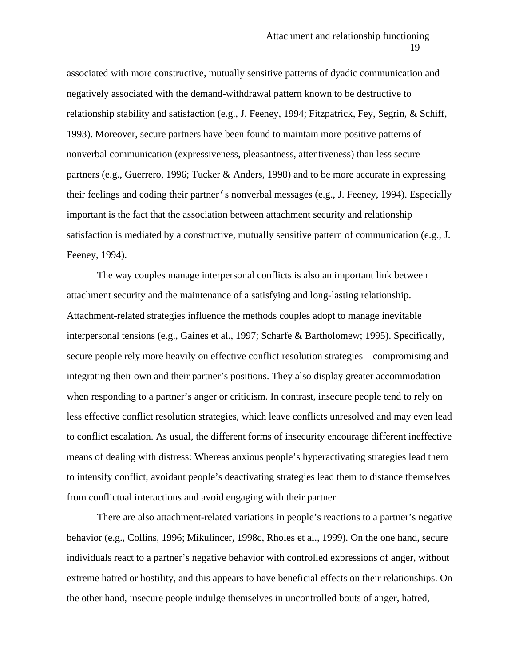associated with more constructive, mutually sensitive patterns of dyadic communication and negatively associated with the demand-withdrawal pattern known to be destructive to relationship stability and satisfaction (e.g., J. Feeney, 1994; Fitzpatrick, Fey, Segrin, & Schiff, 1993). Moreover, secure partners have been found to maintain more positive patterns of nonverbal communication (expressiveness, pleasantness, attentiveness) than less secure partners (e.g., Guerrero, 1996; Tucker & Anders, 1998) and to be more accurate in expressing their feelings and coding their partner's nonverbal messages (e.g., J. Feeney, 1994). Especially important is the fact that the association between attachment security and relationship satisfaction is mediated by a constructive, mutually sensitive pattern of communication (e.g., J. Feeney, 1994).

The way couples manage interpersonal conflicts is also an important link between attachment security and the maintenance of a satisfying and long-lasting relationship. Attachment-related strategies influence the methods couples adopt to manage inevitable interpersonal tensions (e.g., Gaines et al., 1997; Scharfe & Bartholomew; 1995). Specifically, secure people rely more heavily on effective conflict resolution strategies – compromising and integrating their own and their partner's positions. They also display greater accommodation when responding to a partner's anger or criticism. In contrast, insecure people tend to rely on less effective conflict resolution strategies, which leave conflicts unresolved and may even lead to conflict escalation. As usual, the different forms of insecurity encourage different ineffective means of dealing with distress: Whereas anxious people's hyperactivating strategies lead them to intensify conflict, avoidant people's deactivating strategies lead them to distance themselves from conflictual interactions and avoid engaging with their partner.

There are also attachment-related variations in people's reactions to a partner's negative behavior (e.g., Collins, 1996; Mikulincer, 1998c, Rholes et al., 1999). On the one hand, secure individuals react to a partner's negative behavior with controlled expressions of anger, without extreme hatred or hostility, and this appears to have beneficial effects on their relationships. On the other hand, insecure people indulge themselves in uncontrolled bouts of anger, hatred,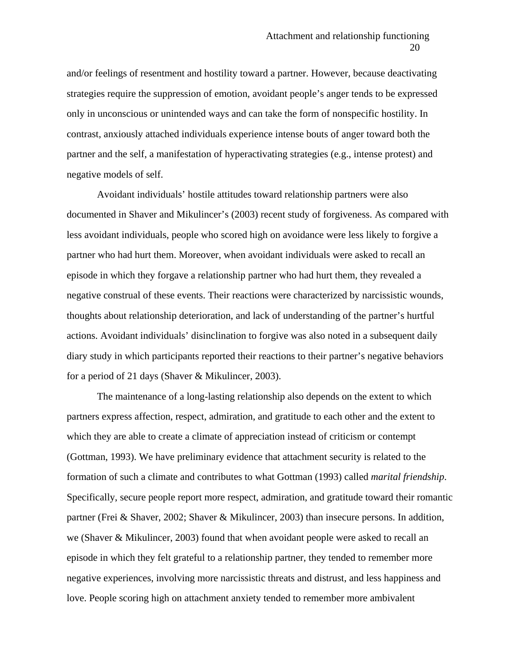and/or feelings of resentment and hostility toward a partner. However, because deactivating strategies require the suppression of emotion, avoidant people's anger tends to be expressed only in unconscious or unintended ways and can take the form of nonspecific hostility. In contrast, anxiously attached individuals experience intense bouts of anger toward both the partner and the self, a manifestation of hyperactivating strategies (e.g., intense protest) and negative models of self.

Avoidant individuals' hostile attitudes toward relationship partners were also documented in Shaver and Mikulincer's (2003) recent study of forgiveness. As compared with less avoidant individuals, people who scored high on avoidance were less likely to forgive a partner who had hurt them. Moreover, when avoidant individuals were asked to recall an episode in which they forgave a relationship partner who had hurt them, they revealed a negative construal of these events. Their reactions were characterized by narcissistic wounds, thoughts about relationship deterioration, and lack of understanding of the partner's hurtful actions. Avoidant individuals' disinclination to forgive was also noted in a subsequent daily diary study in which participants reported their reactions to their partner's negative behaviors for a period of 21 days (Shaver & Mikulincer, 2003).

The maintenance of a long-lasting relationship also depends on the extent to which partners express affection, respect, admiration, and gratitude to each other and the extent to which they are able to create a climate of appreciation instead of criticism or contempt (Gottman, 1993). We have preliminary evidence that attachment security is related to the formation of such a climate and contributes to what Gottman (1993) called *marital friendship*. Specifically, secure people report more respect, admiration, and gratitude toward their romantic partner (Frei & Shaver, 2002; Shaver & Mikulincer, 2003) than insecure persons. In addition, we (Shaver & Mikulincer, 2003) found that when avoidant people were asked to recall an episode in which they felt grateful to a relationship partner, they tended to remember more negative experiences, involving more narcissistic threats and distrust, and less happiness and love. People scoring high on attachment anxiety tended to remember more ambivalent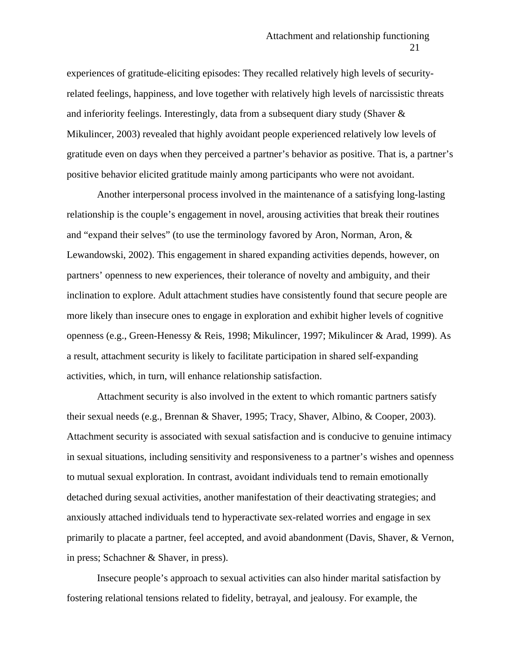experiences of gratitude-eliciting episodes: They recalled relatively high levels of securityrelated feelings, happiness, and love together with relatively high levels of narcissistic threats and inferiority feelings. Interestingly, data from a subsequent diary study (Shaver & Mikulincer, 2003) revealed that highly avoidant people experienced relatively low levels of gratitude even on days when they perceived a partner's behavior as positive. That is, a partner's positive behavior elicited gratitude mainly among participants who were not avoidant.

Another interpersonal process involved in the maintenance of a satisfying long-lasting relationship is the couple's engagement in novel, arousing activities that break their routines and "expand their selves" (to use the terminology favored by Aron, Norman, Aron, & Lewandowski, 2002). This engagement in shared expanding activities depends, however, on partners' openness to new experiences, their tolerance of novelty and ambiguity, and their inclination to explore. Adult attachment studies have consistently found that secure people are more likely than insecure ones to engage in exploration and exhibit higher levels of cognitive openness (e.g., Green-Henessy & Reis, 1998; Mikulincer, 1997; Mikulincer & Arad, 1999). As a result, attachment security is likely to facilitate participation in shared self-expanding activities, which, in turn, will enhance relationship satisfaction.

Attachment security is also involved in the extent to which romantic partners satisfy their sexual needs (e.g., Brennan & Shaver, 1995; Tracy, Shaver, Albino, & Cooper, 2003). Attachment security is associated with sexual satisfaction and is conducive to genuine intimacy in sexual situations, including sensitivity and responsiveness to a partner's wishes and openness to mutual sexual exploration. In contrast, avoidant individuals tend to remain emotionally detached during sexual activities, another manifestation of their deactivating strategies; and anxiously attached individuals tend to hyperactivate sex-related worries and engage in sex primarily to placate a partner, feel accepted, and avoid abandonment (Davis, Shaver, & Vernon, in press; Schachner & Shaver, in press).

Insecure people's approach to sexual activities can also hinder marital satisfaction by fostering relational tensions related to fidelity, betrayal, and jealousy. For example, the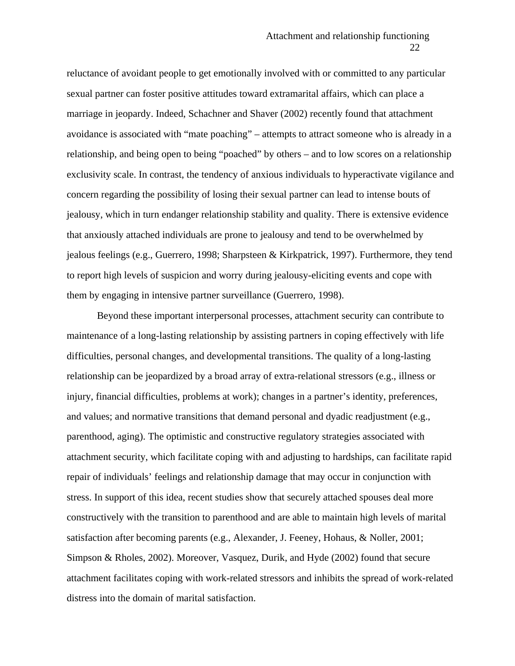reluctance of avoidant people to get emotionally involved with or committed to any particular sexual partner can foster positive attitudes toward extramarital affairs, which can place a marriage in jeopardy. Indeed, Schachner and Shaver (2002) recently found that attachment avoidance is associated with "mate poaching" – attempts to attract someone who is already in a relationship, and being open to being "poached" by others – and to low scores on a relationship exclusivity scale. In contrast, the tendency of anxious individuals to hyperactivate vigilance and concern regarding the possibility of losing their sexual partner can lead to intense bouts of jealousy, which in turn endanger relationship stability and quality. There is extensive evidence that anxiously attached individuals are prone to jealousy and tend to be overwhelmed by jealous feelings (e.g., Guerrero, 1998; Sharpsteen & Kirkpatrick, 1997). Furthermore, they tend to report high levels of suspicion and worry during jealousy-eliciting events and cope with them by engaging in intensive partner surveillance (Guerrero, 1998).

Beyond these important interpersonal processes, attachment security can contribute to maintenance of a long-lasting relationship by assisting partners in coping effectively with life difficulties, personal changes, and developmental transitions. The quality of a long-lasting relationship can be jeopardized by a broad array of extra-relational stressors (e.g., illness or injury, financial difficulties, problems at work); changes in a partner's identity, preferences, and values; and normative transitions that demand personal and dyadic readjustment (e.g., parenthood, aging). The optimistic and constructive regulatory strategies associated with attachment security, which facilitate coping with and adjusting to hardships, can facilitate rapid repair of individuals' feelings and relationship damage that may occur in conjunction with stress. In support of this idea, recent studies show that securely attached spouses deal more constructively with the transition to parenthood and are able to maintain high levels of marital satisfaction after becoming parents (e.g., Alexander, J. Feeney, Hohaus, & Noller, 2001; Simpson & Rholes, 2002). Moreover, Vasquez, Durik, and Hyde (2002) found that secure attachment facilitates coping with work-related stressors and inhibits the spread of work-related distress into the domain of marital satisfaction.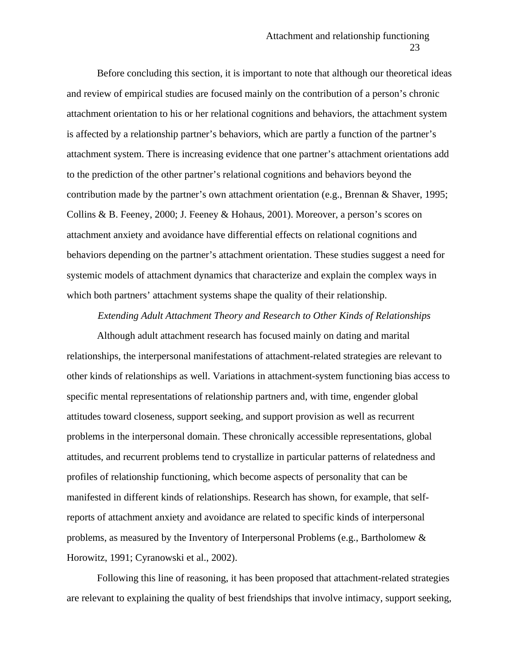Before concluding this section, it is important to note that although our theoretical ideas and review of empirical studies are focused mainly on the contribution of a person's chronic attachment orientation to his or her relational cognitions and behaviors, the attachment system is affected by a relationship partner's behaviors, which are partly a function of the partner's attachment system. There is increasing evidence that one partner's attachment orientations add to the prediction of the other partner's relational cognitions and behaviors beyond the contribution made by the partner's own attachment orientation (e.g., Brennan & Shaver, 1995; Collins & B. Feeney, 2000; J. Feeney & Hohaus, 2001). Moreover, a person's scores on attachment anxiety and avoidance have differential effects on relational cognitions and behaviors depending on the partner's attachment orientation. These studies suggest a need for systemic models of attachment dynamics that characterize and explain the complex ways in which both partners' attachment systems shape the quality of their relationship.

 *Extending Adult Attachment Theory and Research to Other Kinds of Relationships* 

Although adult attachment research has focused mainly on dating and marital relationships, the interpersonal manifestations of attachment-related strategies are relevant to other kinds of relationships as well. Variations in attachment-system functioning bias access to specific mental representations of relationship partners and, with time, engender global attitudes toward closeness, support seeking, and support provision as well as recurrent problems in the interpersonal domain. These chronically accessible representations, global attitudes, and recurrent problems tend to crystallize in particular patterns of relatedness and profiles of relationship functioning, which become aspects of personality that can be manifested in different kinds of relationships. Research has shown, for example, that selfreports of attachment anxiety and avoidance are related to specific kinds of interpersonal problems, as measured by the Inventory of Interpersonal Problems (e.g., Bartholomew & Horowitz, 1991; Cyranowski et al., 2002).

Following this line of reasoning, it has been proposed that attachment-related strategies are relevant to explaining the quality of best friendships that involve intimacy, support seeking,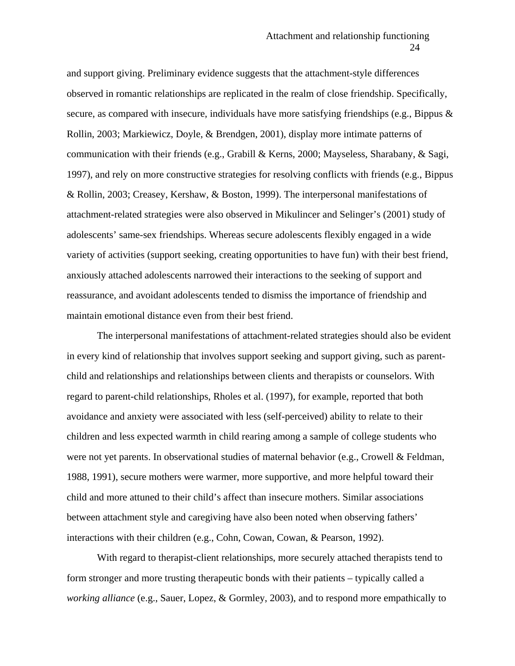and support giving. Preliminary evidence suggests that the attachment-style differences observed in romantic relationships are replicated in the realm of close friendship. Specifically, secure, as compared with insecure, individuals have more satisfying friendships (e.g., Bippus & Rollin, 2003; Markiewicz, Doyle, & Brendgen, 2001), display more intimate patterns of communication with their friends (e.g., Grabill & Kerns, 2000; Mayseless, Sharabany, & Sagi, 1997), and rely on more constructive strategies for resolving conflicts with friends (e.g., Bippus & Rollin, 2003; Creasey, Kershaw, & Boston, 1999). The interpersonal manifestations of attachment-related strategies were also observed in Mikulincer and Selinger's (2001) study of adolescents' same-sex friendships. Whereas secure adolescents flexibly engaged in a wide variety of activities (support seeking, creating opportunities to have fun) with their best friend, anxiously attached adolescents narrowed their interactions to the seeking of support and reassurance, and avoidant adolescents tended to dismiss the importance of friendship and maintain emotional distance even from their best friend.

The interpersonal manifestations of attachment-related strategies should also be evident in every kind of relationship that involves support seeking and support giving, such as parentchild and relationships and relationships between clients and therapists or counselors. With regard to parent-child relationships, Rholes et al. (1997), for example, reported that both avoidance and anxiety were associated with less (self-perceived) ability to relate to their children and less expected warmth in child rearing among a sample of college students who were not yet parents. In observational studies of maternal behavior (e.g., Crowell & Feldman, 1988, 1991), secure mothers were warmer, more supportive, and more helpful toward their child and more attuned to their child's affect than insecure mothers. Similar associations between attachment style and caregiving have also been noted when observing fathers' interactions with their children (e.g., Cohn, Cowan, Cowan, & Pearson, 1992).

With regard to therapist-client relationships, more securely attached therapists tend to form stronger and more trusting therapeutic bonds with their patients – typically called a *working alliance* (e.g., Sauer, Lopez, & Gormley, 2003), and to respond more empathically to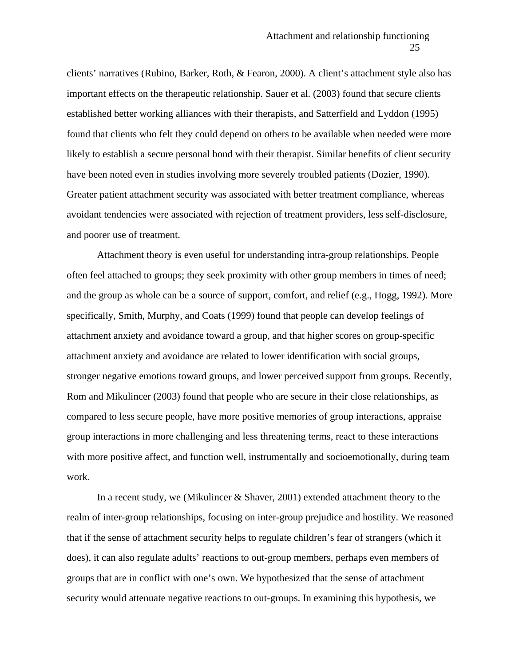clients' narratives (Rubino, Barker, Roth, & Fearon, 2000). A client's attachment style also has important effects on the therapeutic relationship. Sauer et al. (2003) found that secure clients established better working alliances with their therapists, and Satterfield and Lyddon (1995) found that clients who felt they could depend on others to be available when needed were more likely to establish a secure personal bond with their therapist. Similar benefits of client security have been noted even in studies involving more severely troubled patients (Dozier, 1990). Greater patient attachment security was associated with better treatment compliance, whereas avoidant tendencies were associated with rejection of treatment providers, less self-disclosure, and poorer use of treatment.

Attachment theory is even useful for understanding intra-group relationships. People often feel attached to groups; they seek proximity with other group members in times of need; and the group as whole can be a source of support, comfort, and relief (e.g., Hogg, 1992). More specifically, Smith, Murphy, and Coats (1999) found that people can develop feelings of attachment anxiety and avoidance toward a group, and that higher scores on group-specific attachment anxiety and avoidance are related to lower identification with social groups, stronger negative emotions toward groups, and lower perceived support from groups. Recently, Rom and Mikulincer (2003) found that people who are secure in their close relationships, as compared to less secure people, have more positive memories of group interactions, appraise group interactions in more challenging and less threatening terms, react to these interactions with more positive affect, and function well, instrumentally and socioemotionally, during team work.

In a recent study, we (Mikulincer & Shaver, 2001) extended attachment theory to the realm of inter-group relationships, focusing on inter-group prejudice and hostility. We reasoned that if the sense of attachment security helps to regulate children's fear of strangers (which it does), it can also regulate adults' reactions to out-group members, perhaps even members of groups that are in conflict with one's own. We hypothesized that the sense of attachment security would attenuate negative reactions to out-groups. In examining this hypothesis, we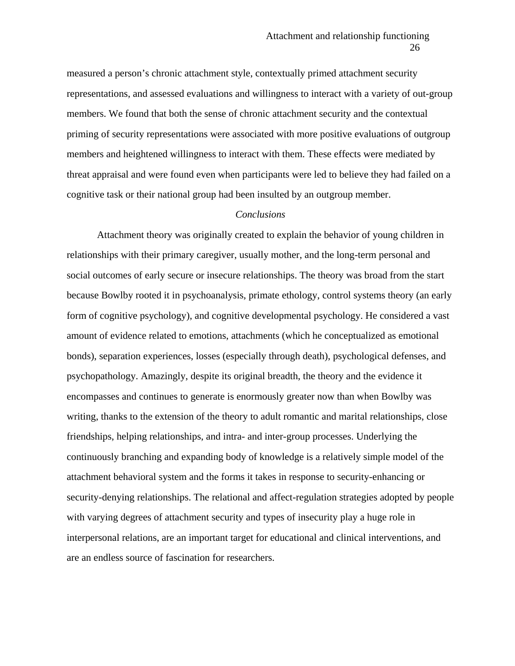measured a person's chronic attachment style, contextually primed attachment security representations, and assessed evaluations and willingness to interact with a variety of out-group members. We found that both the sense of chronic attachment security and the contextual priming of security representations were associated with more positive evaluations of outgroup members and heightened willingness to interact with them. These effects were mediated by threat appraisal and were found even when participants were led to believe they had failed on a cognitive task or their national group had been insulted by an outgroup member.

#### *Conclusions*

Attachment theory was originally created to explain the behavior of young children in relationships with their primary caregiver, usually mother, and the long-term personal and social outcomes of early secure or insecure relationships. The theory was broad from the start because Bowlby rooted it in psychoanalysis, primate ethology, control systems theory (an early form of cognitive psychology), and cognitive developmental psychology. He considered a vast amount of evidence related to emotions, attachments (which he conceptualized as emotional bonds), separation experiences, losses (especially through death), psychological defenses, and psychopathology. Amazingly, despite its original breadth, the theory and the evidence it encompasses and continues to generate is enormously greater now than when Bowlby was writing, thanks to the extension of the theory to adult romantic and marital relationships, close friendships, helping relationships, and intra- and inter-group processes. Underlying the continuously branching and expanding body of knowledge is a relatively simple model of the attachment behavioral system and the forms it takes in response to security-enhancing or security-denying relationships. The relational and affect-regulation strategies adopted by people with varying degrees of attachment security and types of insecurity play a huge role in interpersonal relations, are an important target for educational and clinical interventions, and are an endless source of fascination for researchers.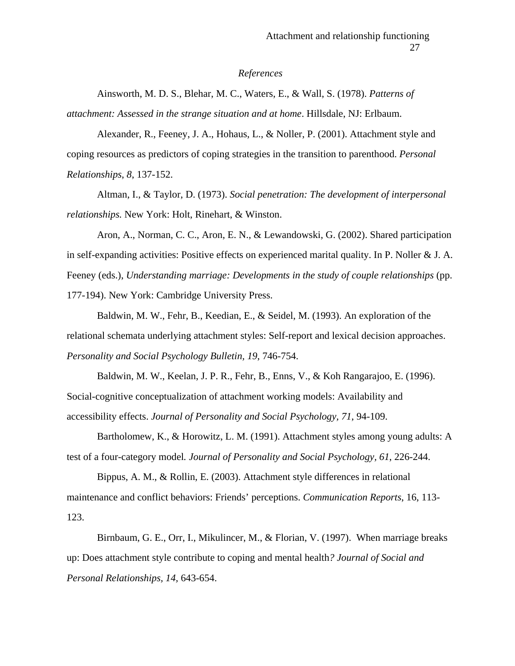#### *References*

Ainsworth, M. D. S., Blehar, M. C., Waters, E., & Wall, S. (1978). *Patterns of attachment: Assessed in the strange situation and at home*. Hillsdale, NJ: Erlbaum.

Alexander, R., Feeney, J. A., Hohaus, L., & Noller, P. (2001). Attachment style and coping resources as predictors of coping strategies in the transition to parenthood. *Personal Relationships*, *8*, 137-152.

Altman, I., & Taylor, D. (1973). *Social penetration: The development of interpersonal relationships.* New York: Holt, Rinehart, & Winston.

Aron, A., Norman, C. C., Aron, E. N., & Lewandowski, G. (2002). Shared participation in self-expanding activities: Positive effects on experienced marital quality. In P. Noller & J. A. Feeney (eds.), *Understanding marriage: Developments in the study of couple relationships* (pp. 177-194). New York: Cambridge University Press.

Baldwin, M. W., Fehr, B., Keedian, E., & Seidel, M. (1993). An exploration of the relational schemata underlying attachment styles: Self-report and lexical decision approaches. *Personality and Social Psychology Bulletin, 19*, 746-754.

Baldwin, M. W., Keelan, J. P. R., Fehr, B., Enns, V., & Koh Rangarajoo, E. (1996). Social-cognitive conceptualization of attachment working models: Availability and accessibility effects. *Journal of Personality and Social Psychology, 71*, 94-109.

Bartholomew, K., & Horowitz, L. M. (1991). Attachment styles among young adults: A test of a four-category model*. Journal of Personality and Social Psychology, 61*, 226-244.

Bippus, A. M., & Rollin, E. (2003). Attachment style differences in relational maintenance and conflict behaviors: Friends' perceptions. *Communication Reports*, 16, 113- 123.

Birnbaum, G. E., Orr, I., Mikulincer, M., & Florian, V. (1997). When marriage breaks up: Does attachment style contribute to coping and mental health*? Journal of Social and Personal Relationships, 14,* 643-654.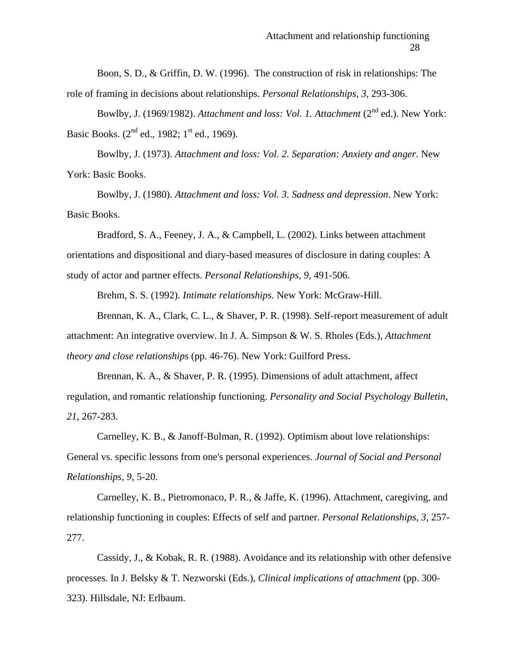Boon, S. D., & Griffin, D. W. (1996). The construction of risk in relationships: The role of framing in decisions about relationships. *Personal Relationships, 3,* 293-306.

Bowlby, J. (1969/1982). *Attachment and loss: Vol. 1. Attachment* (2<sup>nd</sup> ed.). New York: Basic Books.  $(2^{nd}$  ed., 1982; 1<sup>st</sup> ed., 1969).

Bowlby, J. (1973). *Attachment and loss: Vol. 2. Separation: Anxiety and anger*. New York: Basic Books.

Bowlby, J. (1980). *Attachment and loss: Vol. 3. Sadness and depression*. New York: Basic Books.

Bradford, S. A., Feeney, J. A., & Campbell, L. (2002). Links between attachment orientations and dispositional and diary-based measures of disclosure in dating couples: A study of actor and partner effects. *Personal Relationships, 9,* 491-506.

Brehm, S. S. (1992). *Intimate relationships*. New York: McGraw-Hill.

Brennan, K. A., Clark, C. L., & Shaver, P. R. (1998). Self-report measurement of adult attachment: An integrative overview. In J. A. Simpson & W. S. Rholes (Eds.), *Attachment theory and close relationships* (pp. 46-76). New York: Guilford Press.

Brennan, K. A., & Shaver, P. R. (1995). Dimensions of adult attachment, affect regulation, and romantic relationship functioning. *Personality and Social Psychology Bulletin, 21,* 267-283.

Carnelley, K. B., & Janoff-Bulman, R. (1992). Optimism about love relationships: General vs. specific lessons from one's personal experiences. *Journal of Social and Personal Relationships, 9*, 5-20.

Carnelley, K. B., Pietromonaco, P. R., & Jaffe, K. (1996). Attachment, caregiving, and relationship functioning in couples: Effects of self and partner. *Personal Relationships, 3*, 257- 277.

Cassidy, J., & Kobak, R. R. (1988). Avoidance and its relationship with other defensive processes. In J. Belsky & T. Nezworski (Eds.), *Clinical implications of attachment* (pp. 300- 323). Hillsdale, NJ: Erlbaum.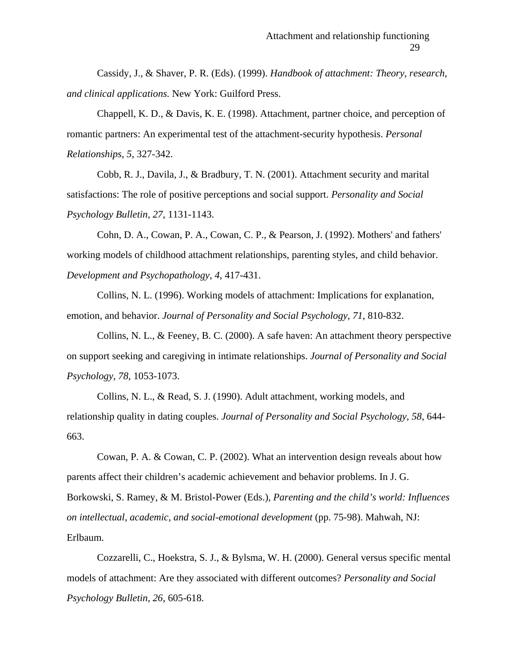Cassidy, J., & Shaver, P. R. (Eds). (1999). *Handbook of attachment: Theory, research, and clinical applications.* New York: Guilford Press.

Chappell, K. D., & Davis, K. E. (1998). Attachment, partner choice, and perception of romantic partners: An experimental test of the attachment-security hypothesis. *Personal Relationships, 5*, 327-342.

Cobb, R. J., Davila, J., & Bradbury, T. N. (2001). Attachment security and marital satisfactions: The role of positive perceptions and social support. *Personality and Social Psychology Bulletin, 27*, 1131-1143.

Cohn, D. A., Cowan, P. A., Cowan, C. P., & Pearson, J. (1992). Mothers' and fathers' working models of childhood attachment relationships, parenting styles, and child behavior. *Development and Psychopathology*, *4*, 417-431.

Collins, N. L. (1996). Working models of attachment: Implications for explanation, emotion, and behavior. *Journal of Personality and Social Psychology, 71*, 810-832.

Collins, N. L., & Feeney, B. C. (2000). A safe haven: An attachment theory perspective on support seeking and caregiving in intimate relationships. *Journal of Personality and Social Psychology, 78*, 1053-1073.

Collins, N. L., & Read, S. J. (1990). Adult attachment, working models, and relationship quality in dating couples. *Journal of Personality and Social Psychology, 58*, 644- 663.

Cowan, P. A. & Cowan, C. P. (2002). What an intervention design reveals about how parents affect their children's academic achievement and behavior problems. In J. G. Borkowski, S. Ramey, & M. Bristol-Power (Eds.), *Parenting and the child's world: Influences on intellectual, academic, and social-emotional development* (pp. 75-98). Mahwah, NJ: Erlbaum.

Cozzarelli, C., Hoekstra, S. J., & Bylsma, W. H. (2000). General versus specific mental models of attachment: Are they associated with different outcomes? *Personality and Social Psychology Bulletin, 26*, 605-618.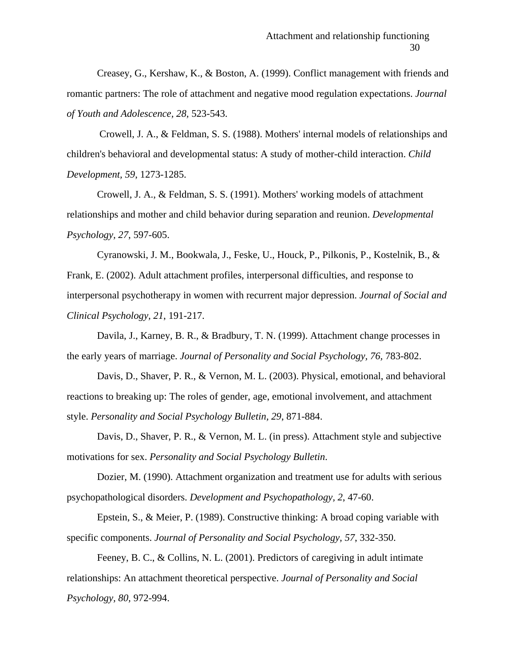Creasey, G., Kershaw, K., & Boston, A. (1999). Conflict management with friends and romantic partners: The role of attachment and negative mood regulation expectations. *Journal of Youth and Adolescence, 28,* 523-543.

 Crowell, J. A., & Feldman, S. S. (1988). Mothers' internal models of relationships and children's behavioral and developmental status: A study of mother-child interaction. *Child Development, 59*, 1273-1285.

Crowell, J. A., & Feldman, S. S. (1991). Mothers' working models of attachment relationships and mother and child behavior during separation and reunion. *Developmental Psychology, 27*, 597-605.

Cyranowski, J. M., Bookwala, J., Feske, U., Houck, P., Pilkonis, P., Kostelnik, B., & Frank, E. (2002). Adult attachment profiles, interpersonal difficulties, and response to interpersonal psychotherapy in women with recurrent major depression. *Journal of Social and Clinical Psychology, 21*, 191-217.

Davila, J., Karney, B. R., & Bradbury, T. N. (1999). Attachment change processes in the early years of marriage. *Journal of Personality and Social Psychology, 76,* 783-802.

Davis, D., Shaver, P. R., & Vernon, M. L. (2003). Physical, emotional, and behavioral reactions to breaking up: The roles of gender, age, emotional involvement, and attachment style. *Personality and Social Psychology Bulletin, 29*, 871-884.

Davis, D., Shaver, P. R., & Vernon, M. L. (in press). Attachment style and subjective motivations for sex. *Personality and Social Psychology Bulletin*.

Dozier, M. (1990). Attachment organization and treatment use for adults with serious psychopathological disorders. *Development and Psychopathology, 2*, 47-60.

Epstein, S., & Meier, P. (1989). Constructive thinking: A broad coping variable with specific components. *Journal of Personality and Social Psychology, 57*, 332-350.

Feeney, B. C., & Collins, N. L. (2001). Predictors of caregiving in adult intimate relationships: An attachment theoretical perspective. *Journal of Personality and Social Psychology, 80,* 972-994.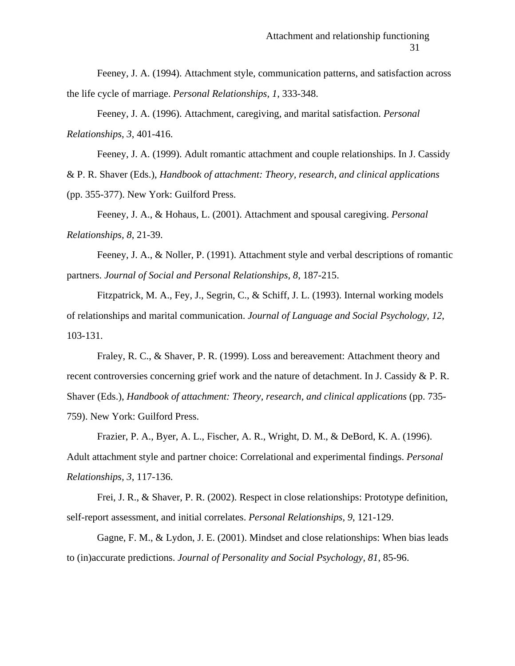Feeney, J. A. (1994). Attachment style, communication patterns, and satisfaction across the life cycle of marriage. *Personal Relationships, 1*, 333-348.

Feeney, J. A. (1996). Attachment, caregiving, and marital satisfaction. *Personal Relationships*, *3*, 401-416.

Feeney, J. A. (1999). Adult romantic attachment and couple relationships. In J. Cassidy & P. R. Shaver (Eds.), *Handbook of attachment: Theory, research, and clinical applications* (pp. 355-377). New York: Guilford Press.

Feeney, J. A., & Hohaus, L. (2001). Attachment and spousal caregiving. *Personal Relationships, 8*, 21-39.

Feeney, J. A., & Noller, P. (1991). Attachment style and verbal descriptions of romantic partners. *Journal of Social and Personal Relationships, 8*, 187-215.

Fitzpatrick, M. A., Fey, J., Segrin, C., & Schiff, J. L. (1993). Internal working models of relationships and marital communication. *Journal of Language and Social Psychology, 12*, 103-131.

Fraley, R. C., & Shaver, P. R. (1999). Loss and bereavement: Attachment theory and recent controversies concerning grief work and the nature of detachment. In J. Cassidy & P. R. Shaver (Eds.), *Handbook of attachment: Theory, research, and clinical applications* (pp. 735- 759). New York: Guilford Press.

Frazier, P. A., Byer, A. L., Fischer, A. R., Wright, D. M., & DeBord, K. A. (1996). Adult attachment style and partner choice: Correlational and experimental findings. *Personal Relationships, 3*, 117-136.

Frei, J. R., & Shaver, P. R. (2002). Respect in close relationships: Prototype definition, self-report assessment, and initial correlates. *Personal Relationships, 9*, 121-129.

Gagne, F. M., & Lydon, J. E. (2001). Mindset and close relationships: When bias leads to (in)accurate predictions. *Journal of Personality and Social Psychology, 81,* 85-96.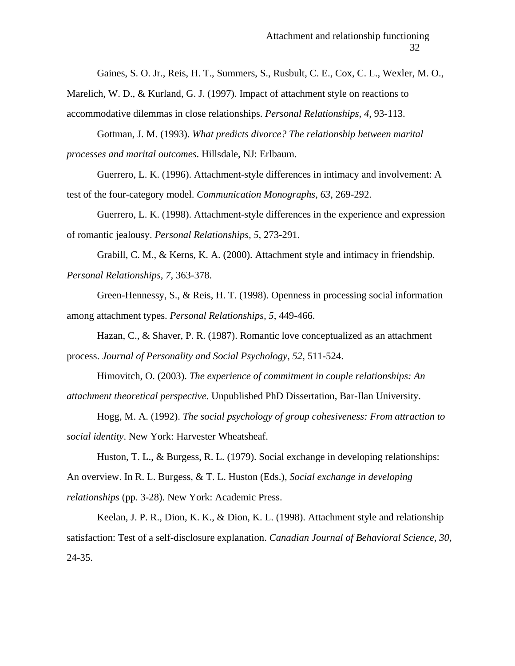Gaines, S. O. Jr., Reis, H. T., Summers, S., Rusbult, C. E., Cox, C. L., Wexler, M. O.,

Marelich, W. D.,  $\&$  Kurland, G. J. (1997). Impact of attachment style on reactions to accommodative dilemmas in close relationships. *Personal Relationships, 4*, 93-113.

Gottman, J. M. (1993). *What predicts divorce? The relationship between marital processes and marital outcomes*. Hillsdale, NJ: Erlbaum.

Guerrero, L. K. (1996). Attachment-style differences in intimacy and involvement: A test of the four-category model. *Communication Monographs, 63*, 269-292.

Guerrero, L. K. (1998). Attachment-style differences in the experience and expression of romantic jealousy. *Personal Relationships, 5*, 273-291.

Grabill, C. M., & Kerns, K. A. (2000). Attachment style and intimacy in friendship. *Personal Relationships, 7,* 363-378.

Green-Hennessy, S., & Reis, H. T. (1998). Openness in processing social information among attachment types. *Personal Relationships, 5*, 449-466.

Hazan, C., & Shaver, P. R. (1987). Romantic love conceptualized as an attachment process. *Journal of Personality and Social Psychology, 52*, 511-524.

Himovitch, O. (2003). *The experience of commitment in couple relationships: An attachment theoretical perspective*. Unpublished PhD Dissertation, Bar-Ilan University.

Hogg, M. A. (1992). *The social psychology of group cohesiveness: From attraction to social identity*. New York: Harvester Wheatsheaf.

Huston, T. L., & Burgess, R. L. (1979). Social exchange in developing relationships: An overview. In R. L. Burgess, & T. L. Huston (Eds.), *Social exchange in developing relationships* (pp. 3-28). New York: Academic Press.

Keelan, J. P. R., Dion, K. K., & Dion, K. L. (1998). Attachment style and relationship satisfaction: Test of a self-disclosure explanation. *Canadian Journal of Behavioral Science, 30,* 24-35.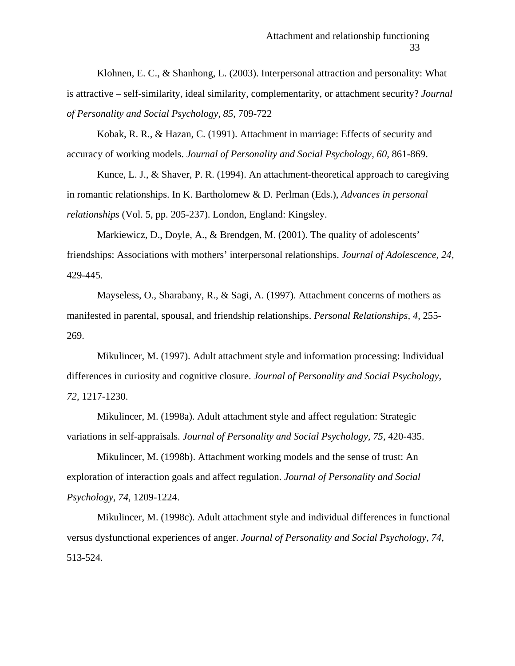Klohnen, E. C., & Shanhong, L. (2003). Interpersonal attraction and personality: What is attractive – self-similarity, ideal similarity, complementarity, or attachment security? *Journal of Personality and Social Psychology, 85*, 709-722

Kobak, R. R., & Hazan, C. (1991). Attachment in marriage: Effects of security and accuracy of working models. *Journal of Personality and Social Psychology, 60,* 861-869.

Kunce, L. J., & Shaver, P. R. (1994). An attachment-theoretical approach to caregiving in romantic relationships. In K. Bartholomew & D. Perlman (Eds.), *Advances in personal relationships* (Vol. 5, pp. 205-237). London, England: Kingsley.

Markiewicz, D., Doyle, A., & Brendgen, M. (2001). The quality of adolescents' friendships: Associations with mothers' interpersonal relationships. *Journal of Adolescence, 24,* 429-445.

Mayseless, O., Sharabany, R., & Sagi, A. (1997). Attachment concerns of mothers as manifested in parental, spousal, and friendship relationships. *Personal Relationships, 4*, 255- 269.

Mikulincer, M. (1997). Adult attachment style and information processing: Individual differences in curiosity and cognitive closure. *Journal of Personality and Social Psychology, 72,* 1217-1230.

Mikulincer, M. (1998a). Adult attachment style and affect regulation: Strategic variations in self-appraisals. *Journal of Personality and Social Psychology, 75,* 420-435.

Mikulincer, M. (1998b). Attachment working models and the sense of trust: An exploration of interaction goals and affect regulation. *Journal of Personality and Social Psychology, 74,* 1209-1224.

Mikulincer, M. (1998c). Adult attachment style and individual differences in functional versus dysfunctional experiences of anger. *Journal of Personality and Social Psychology, 74,* 513-524.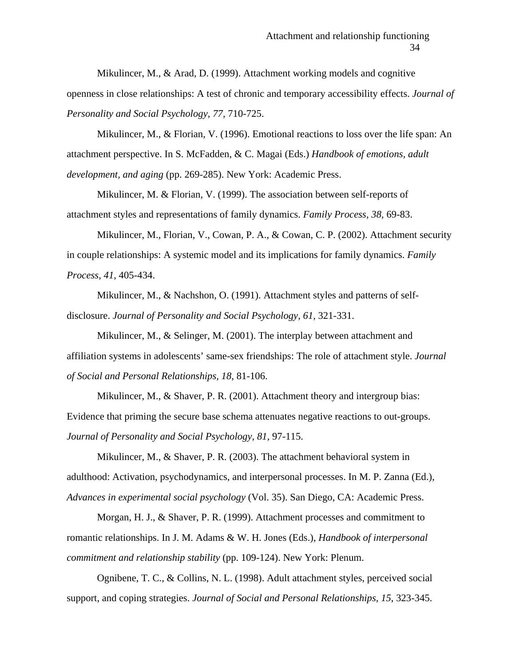Mikulincer, M., & Arad, D. (1999). Attachment working models and cognitive openness in close relationships: A test of chronic and temporary accessibility effects. *Journal of Personality and Social Psychology, 77,* 710-725.

Mikulincer, M., & Florian, V. (1996). Emotional reactions to loss over the life span: An attachment perspective. In S. McFadden, & C. Magai (Eds.) *Handbook of emotions, adult development, and aging* (pp. 269-285). New York: Academic Press.

Mikulincer, M. & Florian, V. (1999). The association between self-reports of attachment styles and representations of family dynamics. *Family Process, 38,* 69-83.

Mikulincer, M., Florian, V., Cowan, P. A., & Cowan, C. P. (2002). Attachment security in couple relationships: A systemic model and its implications for family dynamics. *Family Process, 41,* 405-434.

Mikulincer, M., & Nachshon, O. (1991). Attachment styles and patterns of selfdisclosure. *Journal of Personality and Social Psychology, 61,* 321-331.

Mikulincer, M., & Selinger, M. (2001). The interplay between attachment and affiliation systems in adolescents' same-sex friendships: The role of attachment style. *Journal of Social and Personal Relationships, 18,* 81-106.

Mikulincer, M., & Shaver, P. R. (2001). Attachment theory and intergroup bias: Evidence that priming the secure base schema attenuates negative reactions to out-groups. *Journal of Personality and Social Psychology, 81,* 97-115.

Mikulincer, M., & Shaver, P. R. (2003). The attachment behavioral system in adulthood: Activation, psychodynamics, and interpersonal processes. In M. P. Zanna (Ed.), *Advances in experimental social psychology* (Vol. 35). San Diego, CA: Academic Press.

Morgan, H. J., & Shaver, P. R. (1999). Attachment processes and commitment to romantic relationships. In J. M. Adams & W. H. Jones (Eds.), *Handbook of interpersonal commitment and relationship stability* (pp. 109-124). New York: Plenum.

Ognibene, T. C., & Collins, N. L. (1998). Adult attachment styles, perceived social support, and coping strategies. *Journal of Social and Personal Relationships, 15*, 323-345.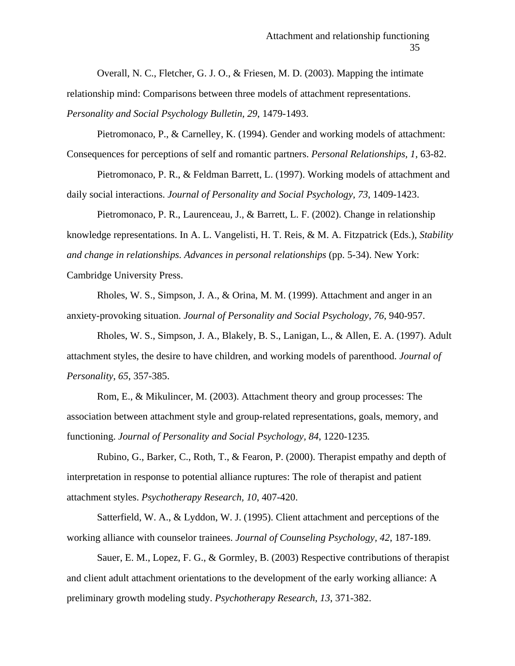Overall, N. C., Fletcher, G. J. O., & Friesen, M. D. (2003). Mapping the intimate

relationship mind: Comparisons between three models of attachment representations. *Personality and Social Psychology Bulletin, 29*, 1479-1493.

Pietromonaco, P., & Carnelley, K. (1994). Gender and working models of attachment: Consequences for perceptions of self and romantic partners. *Personal Relationships, 1*, 63-82.

Pietromonaco, P. R., & Feldman Barrett, L. (1997). Working models of attachment and daily social interactions. *Journal of Personality and Social Psychology, 73*, 1409-1423.

Pietromonaco, P. R., Laurenceau, J., & Barrett, L. F. (2002). Change in relationship knowledge representations. In A. L. Vangelisti, H. T. Reis, & M. A. Fitzpatrick (Eds.), *Stability and change in relationships. Advances in personal relationships* (pp. 5-34). New York: Cambridge University Press.

Rholes, W. S., Simpson, J. A., & Orina, M. M. (1999). Attachment and anger in an anxiety-provoking situation. *Journal of Personality and Social Psychology, 76*, 940-957.

Rholes, W. S., Simpson, J. A., Blakely, B. S., Lanigan, L., & Allen, E. A. (1997). Adult attachment styles, the desire to have children, and working models of parenthood. *Journal of Personality*, *65*, 357-385.

Rom, E., & Mikulincer, M. (2003). Attachment theory and group processes: The association between attachment style and group-related representations, goals, memory, and functioning. *Journal of Personality and Social Psychology, 84*, 1220-1235*.*

Rubino, G., Barker, C., Roth, T., & Fearon, P. (2000). Therapist empathy and depth of interpretation in response to potential alliance ruptures: The role of therapist and patient attachment styles. *Psychotherapy Research, 10*, 407-420.

Satterfield, W. A., & Lyddon, W. J. (1995). Client attachment and perceptions of the working alliance with counselor trainees. *Journal of Counseling Psychology, 42*, 187-189.

Sauer, E. M., Lopez, F. G., & Gormley, B. (2003) Respective contributions of therapist and client adult attachment orientations to the development of the early working alliance: A preliminary growth modeling study. *Psychotherapy Research*, *13*, 371-382.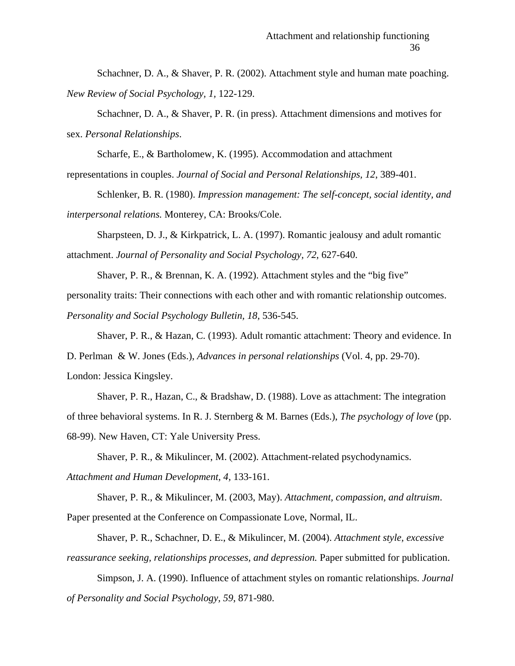Schachner, D. A., & Shaver, P. R. (2002). Attachment style and human mate poaching. *New Review of Social Psychology, 1,* 122-129.

Schachner, D. A., & Shaver, P. R. (in press). Attachment dimensions and motives for sex. *Personal Relationships*.

Scharfe, E., & Bartholomew, K. (1995). Accommodation and attachment

representations in couples. *Journal of Social and Personal Relationships, 12*, 389-401.

Schlenker, B. R. (1980). *Impression management: The self-concept, social identity, and interpersonal relations.* Monterey, CA: Brooks/Cole.

Sharpsteen, D. J., & Kirkpatrick, L. A. (1997). Romantic jealousy and adult romantic attachment. *Journal of Personality and Social Psychology, 72*, 627-640.

Shaver, P. R., & Brennan, K. A. (1992). Attachment styles and the "big five"

personality traits: Their connections with each other and with romantic relationship outcomes. *Personality and Social Psychology Bulletin, 18,* 536-545.

Shaver, P. R., & Hazan, C. (1993). Adult romantic attachment: Theory and evidence. In

D. Perlman & W. Jones (Eds.), *Advances in personal relationships* (Vol. 4, pp. 29-70).

London: Jessica Kingsley.

Shaver, P. R., Hazan, C., & Bradshaw, D. (1988). Love as attachment: The integration of three behavioral systems. In R. J. Sternberg & M. Barnes (Eds.), *The psychology of love* (pp. 68-99). New Haven, CT: Yale University Press.

Shaver, P. R., & Mikulincer, M. (2002). Attachment-related psychodynamics.

*Attachment and Human Development, 4,* 133-161.

Shaver, P. R., & Mikulincer, M. (2003, May). *Attachment, compassion, and altruism*. Paper presented at the Conference on Compassionate Love, Normal, IL.

Shaver, P. R., Schachner, D. E., & Mikulincer, M. (2004). *Attachment style, excessive reassurance seeking, relationships processes, and depression.* Paper submitted for publication.

Simpson, J. A. (1990). Influence of attachment styles on romantic relationships. *Journal of Personality and Social Psychology, 59*, 871-980.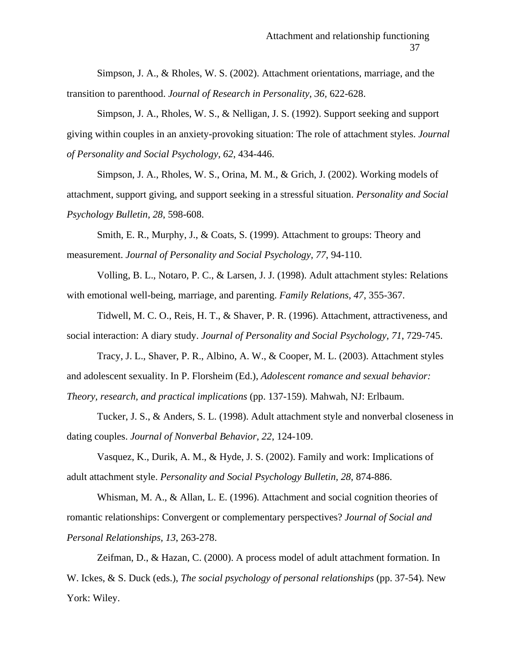Simpson, J. A., & Rholes, W. S. (2002). Attachment orientations, marriage, and the transition to parenthood. *Journal of Research in Personality, 36,* 622-628.

Simpson, J. A., Rholes, W. S., & Nelligan, J. S. (1992). Support seeking and support giving within couples in an anxiety-provoking situation: The role of attachment styles. *Journal of Personality and Social Psychology, 62*, 434-446.

Simpson, J. A., Rholes, W. S., Orina, M. M., & Grich, J. (2002). Working models of attachment, support giving, and support seeking in a stressful situation. *Personality and Social Psychology Bulletin, 28*, 598-608.

Smith, E. R., Murphy, J., & Coats, S. (1999). Attachment to groups: Theory and measurement. *Journal of Personality and Social Psychology, 77*, 94-110.

Volling, B. L., Notaro, P. C., & Larsen, J. J. (1998). Adult attachment styles: Relations with emotional well-being, marriage, and parenting. *Family Relations, 47*, 355-367.

Tidwell, M. C. O., Reis, H. T., & Shaver, P. R. (1996). Attachment, attractiveness, and social interaction: A diary study. *Journal of Personality and Social Psychology, 71*, 729-745.

Tracy, J. L., Shaver, P. R., Albino, A. W., & Cooper, M. L. (2003). Attachment styles and adolescent sexuality. In P. Florsheim (Ed.), *Adolescent romance and sexual behavior: Theory, research, and practical implications* (pp. 137-159)*.* Mahwah, NJ: Erlbaum.

Tucker, J. S., & Anders, S. L. (1998). Adult attachment style and nonverbal closeness in dating couples. *Journal of Nonverbal Behavior, 22*, 124-109.

Vasquez, K., Durik, A. M., & Hyde, J. S. (2002). Family and work: Implications of adult attachment style. *Personality and Social Psychology Bulletin, 28*, 874-886.

Whisman, M. A., & Allan, L. E. (1996). Attachment and social cognition theories of romantic relationships: Convergent or complementary perspectives? *Journal of Social and Personal Relationships, 13*, 263-278.

Zeifman, D., & Hazan, C. (2000). A process model of adult attachment formation. In W. Ickes, & S. Duck (eds.), *The social psychology of personal relationships* (pp. 37-54)*.* New York: Wiley.